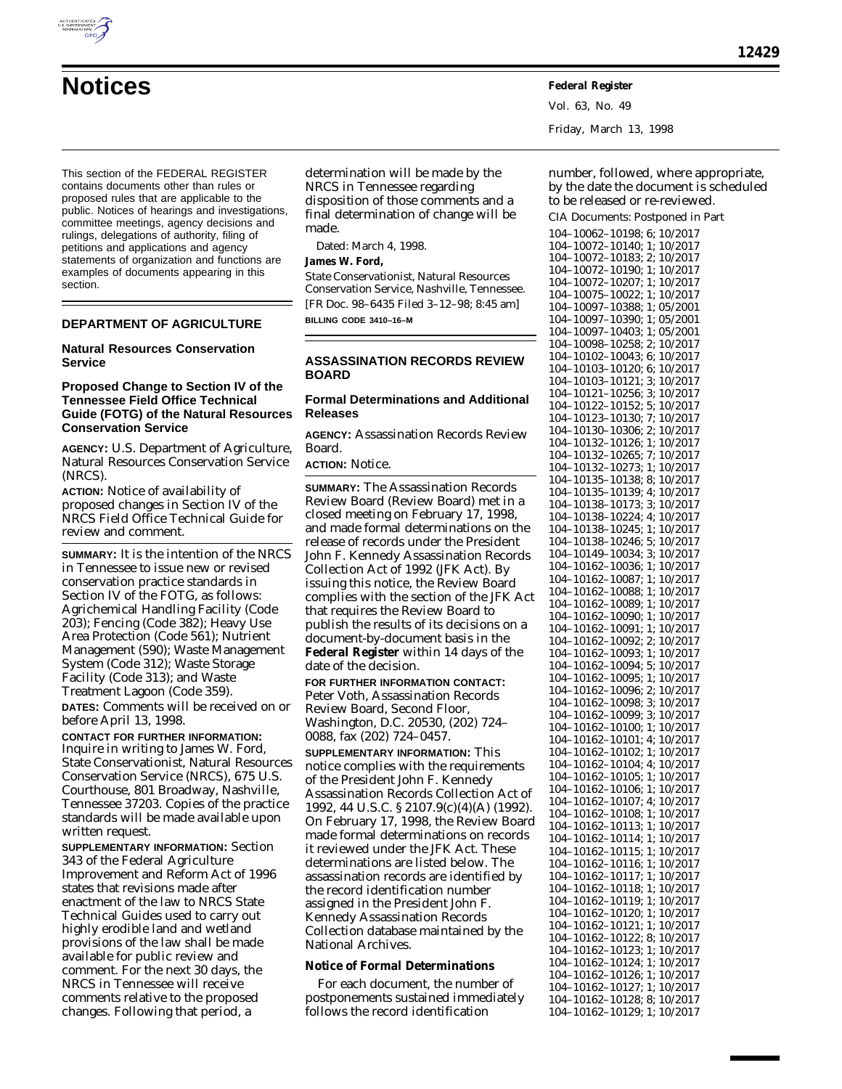

Vol. 63, No. 49 Friday, March 13, 1998

This section of the FEDERAL REGISTER contains documents other than rules or proposed rules that are applicable to the public. Notices of hearings and investigations, committee meetings, agency decisions and rulings, delegations of authority, filing of petitions and applications and agency statements of organization and functions are examples of documents appearing in this section.

# **DEPARTMENT OF AGRICULTURE**

# **Natural Resources Conservation Service**

### **Proposed Change to Section IV of the Tennessee Field Office Technical Guide (FOTG) of the Natural Resources Conservation Service**

**AGENCY:** U.S. Department of Agriculture, Natural Resources Conservation Service (NRCS).

**ACTION:** Notice of availability of proposed changes in Section IV of the NRCS Field Office Technical Guide for review and comment.

**SUMMARY:** It is the intention of the NRCS in Tennessee to issue new or revised conservation practice standards in Section IV of the FOTG, as follows: Agrichemical Handling Facility (Code 203); Fencing (Code 382); Heavy Use Area Protection (Code 561); Nutrient Management (590); Waste Management System (Code 312); Waste Storage Facility (Code 313); and Waste Treatment Lagoon (Code 359).

**DATES:** Comments will be received on or before April 13, 1998.

**CONTACT FOR FURTHER INFORMATION:** Inquire in writing to James W. Ford, State Conservationist, Natural Resources Conservation Service (NRCS), 675 U.S. Courthouse, 801 Broadway, Nashville, Tennessee 37203. Copies of the practice standards will be made available upon written request.

**SUPPLEMENTARY INFORMATION:** Section 343 of the Federal Agriculture Improvement and Reform Act of 1996 states that revisions made after enactment of the law to NRCS State Technical Guides used to carry out highly erodible land and wetland provisions of the law shall be made available for public review and comment. For the next 30 days, the NRCS in Tennessee will receive comments relative to the proposed changes. Following that period, a

determination will be made by the NRCS in Tennessee regarding disposition of those comments and a final determination of change will be made.

Dated: March 4, 1998.

# **James W. Ford,**

*State Conservationist, Natural Resources Conservation Service, Nashville, Tennessee.* [FR Doc. 98–6435 Filed 3–12–98; 8:45 am] **BILLING CODE 3410–16–M**

### **ASSASSINATION RECORDS REVIEW BOARD**

# **Formal Determinations and Additional Releases**

**AGENCY:** Assassination Records Review Board.

**ACTION:** Notice.

**SUMMARY:** The Assassination Records Review Board (Review Board) met in a closed meeting on February 17, 1998, and made formal determinations on the release of records under the President John F. Kennedy Assassination Records Collection Act of 1992 (JFK Act). By issuing this notice, the Review Board complies with the section of the JFK Act that requires the Review Board to publish the results of its decisions on a document-by-document basis in the **Federal Register** within 14 days of the date of the decision.

**FOR FURTHER INFORMATION CONTACT:** Peter Voth, Assassination Records Review Board, Second Floor, Washington, D.C. 20530, (202) 724– 0088, fax (202) 724–0457.

**SUPPLEMENTARY INFORMATION:** This notice complies with the requirements of the President John F. Kennedy Assassination Records Collection Act of 1992, 44 U.S.C. § 2107.9(c)(4)(A) (1992). On February 17, 1998, the Review Board made formal determinations on records it reviewed under the JFK Act. These determinations are listed below. The assassination records are identified by the record identification number assigned in the President John F. Kennedy Assassination Records Collection database maintained by the National Archives.

### **Notice of Formal Determinations**

For each document, the number of postponements sustained immediately follows the record identification

number, followed, where appropriate, by the date the document is scheduled to be released or re-reviewed.

CIA Documents: Postponed in Part 104–10062–10198; 6; 10/2017 104–10072–10140; 1; 10/2017 104–10072–10183; 2; 10/2017 104–10072–10190; 1; 10/2017 104–10072–10207; 1; 10/2017 104–10075–10022; 1; 10/2017 104–10097–10388; 1; 05/2001 104–10097–10390; 1; 05/2001 104–10097–10403; 1; 05/2001 104–10098–10258; 2; 10/2017 104–10102–10043; 6; 10/2017 104–10103–10120; 6; 10/2017 104–10103–10121; 3; 10/2017 104–10121–10256; 3; 10/2017 104–10122–10152; 5; 10/2017 104–10123–10130; 7; 10/2017 104–10130–10306; 2; 10/2017 104–10132–10126; 1; 10/2017 104–10132–10265; 7; 10/2017 104–10132–10273; 1; 10/2017 104–10135–10138; 8; 10/2017 104–10135–10139; 4; 10/2017 104–10138–10173; 3; 10/2017 104–10138–10224; 4; 10/2017 104–10138–10245; 1; 10/2017 104–10138–10246; 5; 10/2017 104–10149–10034; 3; 10/2017 104–10162–10036; 1; 10/2017 104–10162–10087; 1; 10/2017 104–10162–10088; 1; 10/2017 104–10162–10089; 1; 10/2017 104–10162–10090; 1; 10/2017 104–10162–10091; 1; 10/2017 104–10162–10092; 2; 10/2017 104–10162–10093; 1; 10/2017 104–10162–10094; 5; 10/2017 104–10162–10095; 1; 10/2017 104–10162–10096; 2; 10/2017 104–10162–10098; 3; 10/2017 104–10162–10099; 3; 10/2017 104–10162–10100; 1; 10/2017 104–10162–10101; 4; 10/2017 104–10162–10102; 1; 10/2017 104–10162–10104; 4; 10/2017 104–10162–10105; 1; 10/2017 104–10162–10106; 1; 10/2017 104–10162–10107; 4; 10/2017 104–10162–10108; 1; 10/2017 104–10162–10113; 1; 10/2017 104–10162–10114; 1; 10/2017 104–10162–10115; 1; 10/2017 104–10162–10116; 1; 10/2017 104–10162–10117; 1; 10/2017 104–10162–10118; 1; 10/2017 104–10162–10119; 1; 10/2017 104–10162–10120; 1; 10/2017 104–10162–10121; 1; 10/2017 104–10162–10122; 8; 10/2017 104–10162–10123; 1; 10/2017 104–10162–10124; 1; 10/2017 104–10162–10126; 1; 10/2017 104–10162–10127; 1; 10/2017 104–10162–10128; 8; 10/2017 104–10162–10129; 1; 10/2017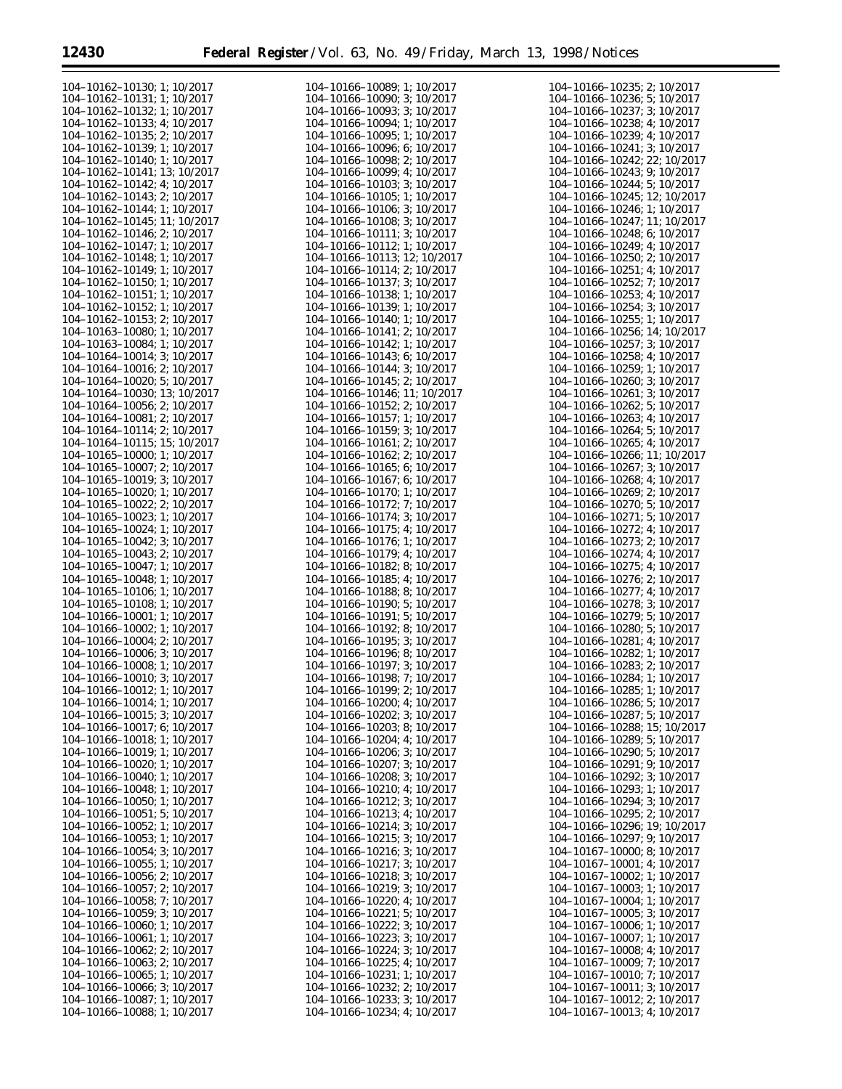Ξ

| 104-10162-10130; 1; 10/2017          | 104-10166-10089; 1; 10/2017          | 104-10166-10235; 2; 10/2017          |
|--------------------------------------|--------------------------------------|--------------------------------------|
|                                      |                                      |                                      |
| 104-10162-10131: 1: 10/2017          | 104-10166-10090; 3; 10/2017          | 104-10166-10236; 5; 10/2017          |
| 104-10162-10132; 1; 10/2017          | 104-10166-10093; 3; 10/2017          | 104-10166-10237; 3; 10/2017          |
| 104-10162-10133; 4; 10/2017          | 104-10166-10094; 1; 10/2017          | 104-10166-10238; 4; 10/2017          |
|                                      |                                      |                                      |
| 104-10162-10135; 2; 10/2017          | 104-10166-10095; 1; 10/2017          | 104-10166-10239; 4; 10/2017          |
| 104-10162-10139; 1; 10/2017          | 104-10166-10096; 6; 10/2017          | 104-10166-10241; 3; 10/2017          |
|                                      |                                      |                                      |
| 104-10162-10140; 1; 10/2017          | 104-10166-10098; 2; 10/2017          | 104-10166-10242; 22; 10/2017         |
| 104-10162-10141; 13; 10/2017         | 104-10166-10099; 4; 10/2017          | 104-10166-10243; 9; 10/2017          |
|                                      |                                      |                                      |
| 104-10162-10142; 4; 10/2017          | 104-10166-10103; 3; 10/2017          | 104-10166-10244; 5; 10/2017          |
| $104 - 10162 - 10143$ ; 2; $10/2017$ | 104-10166-10105; 1; 10/2017          | 104-10166-10245; 12; 10/2017         |
|                                      |                                      |                                      |
| 104-10162-10144; 1; 10/2017          | 104-10166-10106; 3; 10/2017          | 104-10166-10246; 1; 10/2017          |
| 104-10162-10145; 11; 10/2017         | 104-10166-10108; 3; 10/2017          | 104-10166-10247; 11; 10/2017         |
| 104-10162-10146; 2; 10/2017          | 104-10166-10111; 3; 10/2017          | 104-10166-10248; 6; 10/2017          |
|                                      |                                      |                                      |
| 104-10162-10147; 1; 10/2017          | 104-10166-10112; 1; 10/2017          | 104-10166-10249; 4; 10/2017          |
| 104-10162-10148; 1; 10/2017          | 104-10166-10113; 12; 10/2017         | 104-10166-10250; 2; 10/2017          |
|                                      |                                      |                                      |
| 104-10162-10149; 1; 10/2017          | 104-10166-10114; 2; 10/2017          | 104-10166-10251; 4; 10/2017          |
| 104-10162-10150; 1; 10/2017          | 104-10166-10137; 3; 10/2017          | 104-10166-10252; 7; 10/2017          |
| $104 - 10162 - 10151$ ; 1; 10/2017   | 104-10166-10138; 1; 10/2017          | $104 - 10166 - 10253$ ; 4; $10/2017$ |
|                                      |                                      |                                      |
| 104-10162-10152; 1; 10/2017          | 104-10166-10139; 1; 10/2017          | 104-10166-10254; 3; 10/2017          |
| $104 - 10162 - 10153$ ; 2; $10/2017$ | 104-10166-10140; 1; 10/2017          | $104 - 10166 - 10255$ ; 1; 10/2017   |
|                                      |                                      |                                      |
| 104-10163-10080; 1; 10/2017          | 104-10166-10141; 2; 10/2017          | 104-10166-10256; 14; 10/2017         |
| 104-10163-10084; 1; 10/2017          | 104-10166-10142; 1; 10/2017          | 104-10166-10257; 3; 10/2017          |
|                                      |                                      |                                      |
| 104-10164-10014; 3; 10/2017          | 104-10166-10143; 6; 10/2017          | 104-10166-10258; 4; 10/2017          |
| 104-10164-10016; 2; 10/2017          | 104-10166-10144; 3; 10/2017          | 104-10166-10259; 1; 10/2017          |
| $104 - 10164 - 10020$ ; 5; $10/2017$ | 104-10166-10145; 2; 10/2017          | 104-10166-10260; 3; 10/2017          |
|                                      |                                      |                                      |
| 104-10164-10030; 13; 10/2017         | 104-10166-10146; 11; 10/2017         | 104-10166-10261; 3; 10/2017          |
| 104-10164-10056; 2; 10/2017          | $104 - 10166 - 10152$ ; 2; $10/2017$ | 104-10166-10262; 5; 10/2017          |
|                                      |                                      |                                      |
| 104-10164-10081; 2; 10/2017          | 104-10166-10157; 1; 10/2017          | 104-10166-10263; 4; 10/2017          |
| 104-10164-10114; 2; 10/2017          | 104-10166-10159; 3; 10/2017          | 104-10166-10264; 5; 10/2017          |
|                                      |                                      |                                      |
| 104-10164-10115; 15; 10/2017         | 104-10166-10161; 2; 10/2017          | 104-10166-10265; 4; 10/2017          |
| $104 - 10165 - 10000$ ; 1; $10/2017$ | 104-10166-10162; 2; 10/2017          | 104-10166-10266; 11; 10/2017         |
| $104 - 10165 - 10007$ ; 2; $10/2017$ | 104-10166-10165; 6; 10/2017          | 104-10166-10267; 3; 10/2017          |
|                                      |                                      |                                      |
| 104-10165-10019; 3; 10/2017          | 104-10166-10167; 6; 10/2017          | 104-10166-10268; 4; 10/2017          |
| $104 - 10165 - 10020$ ; 1; 10/2017   | 104-10166-10170; 1; 10/2017          | 104-10166-10269; 2; 10/2017          |
|                                      |                                      |                                      |
| $104 - 10165 - 10022$ ; 2; $10/2017$ | 104-10166-10172; 7; 10/2017          | 104-10166-10270; 5; 10/2017          |
| $104 - 10165 - 10023$ ; 1; 10/2017   | 104-10166-10174; 3; 10/2017          | 104-10166-10271; 5; 10/2017          |
|                                      |                                      |                                      |
| 104-10165-10024; 1; 10/2017          | 104-10166-10175; 4; 10/2017          | 104-10166-10272; 4; 10/2017          |
| $104 - 10165 - 10042$ ; 3; $10/2017$ | 104-10166-10176; 1; 10/2017          | 104-10166-10273; 2; 10/2017          |
| $104 - 10165 - 10043$ ; 2; $10/2017$ | 104-10166-10179; 4; 10/2017          | 104-10166-10274; 4; 10/2017          |
|                                      |                                      |                                      |
| 104-10165-10047; 1; 10/2017          | 104-10166-10182; 8; 10/2017          | 104-10166-10275; 4; 10/2017          |
| 104-10165-10048; 1; 10/2017          | 104-10166-10185; 4; 10/2017          | 104-10166-10276; 2; 10/2017          |
|                                      |                                      |                                      |
| 104-10165-10106; 1; 10/2017          | 104-10166-10188; 8; 10/2017          | 104-10166-10277; 4; 10/2017          |
| $104 - 10165 - 10108$ ; 1; 10/2017   | 104-10166-10190; 5; 10/2017          | 104-10166-10278; 3; 10/2017          |
| 104-10166-10001; 1; 10/2017          | 104-10166-10191; 5; 10/2017          | 104-10166-10279; 5; 10/2017          |
|                                      |                                      |                                      |
| 104-10166-10002; 1; 10/2017          | 104-10166-10192; 8; 10/2017          | 104-10166-10280; 5; 10/2017          |
| 104-10166-10004; 2; 10/2017          | 104-10166-10195; 3; 10/2017          | 104-10166-10281; 4; 10/2017          |
|                                      |                                      |                                      |
| 104-10166-10006; 3; 10/2017          | 104-10166-10196; 8; 10/2017          | 104-10166-10282; 1; 10/2017          |
| 104-10166-10008; 1; 10/2017          | 104-10166-10197; 3; 10/2017          | 104-10166-10283; 2; 10/2017          |
| 104-10166-10010; 3; 10/2017          | 104-10166-10198; 7; 10/2017          | 104-10166-10284; 1; 10/2017          |
|                                      |                                      |                                      |
| 104-10166-10012; 1; 10/2017          | 104-10166-10199; 2; 10/2017          | 104-10166-10285; 1; 10/2017          |
| 104-10166-10014; 1; 10/2017          | 104-10166-10200; 4; 10/2017          | 104-10166-10286; 5; 10/2017          |
|                                      | 104-10166-10202; 3; 10/2017          |                                      |
| 104-10166-10015; 3; 10/2017          |                                      | 104-10166-10287; 5; 10/2017          |
| 104-10166-10017; 6; 10/2017          | 104-10166-10203; 8; 10/2017          | 104-10166-10288; 15; 10/2017         |
| 104-10166-10018; 1; 10/2017          | 104-10166-10204; 4; 10/2017          | 104-10166-10289; 5; 10/2017          |
|                                      |                                      |                                      |
| 104-10166-10019; 1; 10/2017          | 104-10166-10206; 3; 10/2017          | 104-10166-10290; 5; 10/2017          |
| $104 - 10166 - 10020$ ; 1; 10/2017   | 104-10166-10207; 3; 10/2017          | 104-10166-10291; 9; 10/2017          |
| 104-10166-10040; 1; 10/2017          | 104-10166-10208; 3; 10/2017          | 104-10166-10292; 3; 10/2017          |
|                                      |                                      |                                      |
| 104-10166-10048; 1; 10/2017          | 104-10166-10210; 4; 10/2017          | 104-10166-10293; 1; 10/2017          |
| $104 - 10166 - 10050$ ; 1; 10/2017   | 104-10166-10212; 3; 10/2017          | 104-10166-10294; 3; 10/2017          |
|                                      |                                      |                                      |
| $104 - 10166 - 10051$ ; 5; 10/2017   | 104-10166-10213; 4; 10/2017          | 104-10166-10295; 2; 10/2017          |
| 104-10166-10052; 1; 10/2017          | 104-10166-10214; 3; 10/2017          | 104-10166-10296; 19; 10/2017         |
| 104-10166-10053; 1; 10/2017          |                                      |                                      |
|                                      | 104-10166-10215; 3; 10/2017          | 104-10166-10297; 9; 10/2017          |
| 104-10166-10054; 3; 10/2017          | 104-10166-10216; 3; 10/2017          | 104-10167-10000; 8; 10/2017          |
| $104 - 10166 - 10055$ ; 1; 10/2017   | 104-10166-10217; 3; 10/2017          | 104-10167-10001; 4; 10/2017          |
|                                      |                                      |                                      |
| $104 - 10166 - 10056$ ; 2; $10/2017$ | 104-10166-10218; 3; 10/2017          | 104-10167-10002; 1; 10/2017          |
| 104-10166-10057; 2; 10/2017          | 104-10166-10219; 3; 10/2017          | 104-10167-10003; 1; 10/2017          |
| 104-10166-10058; 7; 10/2017          | 104-10166-10220; 4; 10/2017          | 104-10167-10004; 1; 10/2017          |
|                                      |                                      |                                      |
| 104-10166-10059; 3; 10/2017          | 104-10166-10221; 5; 10/2017          | 104-10167-10005; 3; 10/2017          |
| 104-10166-10060; 1; 10/2017          | 104-10166-10222; 3; 10/2017          | 104-10167-10006; 1; 10/2017          |
|                                      |                                      |                                      |
| 104-10166-10061; 1; 10/2017          | 104-10166-10223; 3; 10/2017          | 104-10167-10007; 1; 10/2017          |
| $104 - 10166 - 10062$ ; 2; $10/2017$ | 104-10166-10224; 3; 10/2017          | 104-10167-10008; 4; 10/2017          |
|                                      |                                      |                                      |
| $104 - 10166 - 10063$ ; 2; $10/2017$ | 104-10166-10225; 4; 10/2017          | 104-10167-10009; 7; 10/2017          |
| 104-10166-10065; 1; 10/2017          | 104-10166-10231; 1; 10/2017          | 104-10167-10010; 7; 10/2017          |
| 104-10166-10066; 3; 10/2017          | 104-10166-10232; 2; 10/2017          | 104-10167-10011; 3; 10/2017          |
|                                      |                                      |                                      |
| 104-10166-10087; 1; 10/2017          | 104-10166-10233; 3; 10/2017          | 104-10167-10012; 2; 10/2017          |
| 104-10166-10088; 1; 10/2017          | 104-10166-10234; 4; 10/2017          | 104-10167-10013; 4; 10/2017          |
|                                      |                                      |                                      |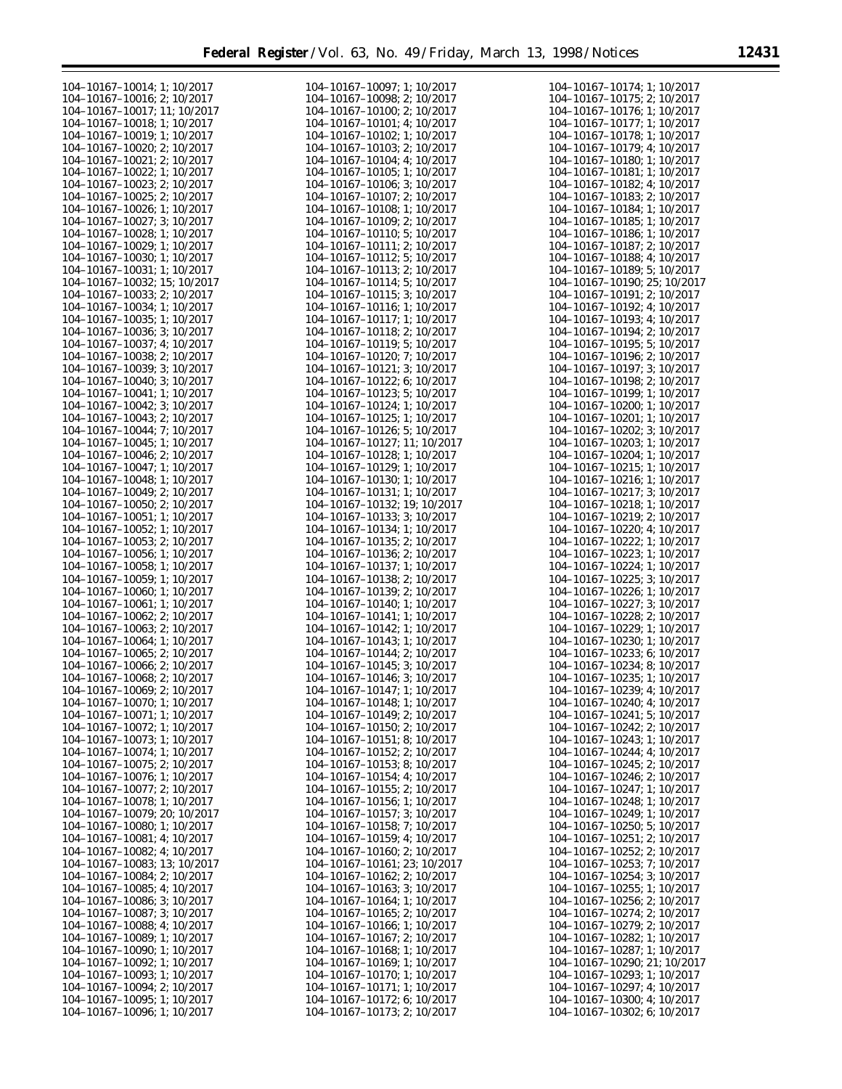| 104-10167-10014; 1; 10/2017          | 104-10167-10097; 1; 10/2017          | 104-10167-10174; 1; 10/2017  |
|--------------------------------------|--------------------------------------|------------------------------|
| 104-10167-10016; 2; 10/2017          | 104-10167-10098: 2: 10/2017          | 104-10167-10175; 2; 10/2017  |
| 104-10167-10017; 11; 10/2017         | $104 - 10167 - 10100$ ; 2; $10/2017$ | 104-10167-10176; 1; 10/2017  |
|                                      |                                      |                              |
| 104-10167-10018; 1; 10/2017          | 104-10167-10101; 4; 10/2017          | 104-10167-10177; 1; 10/2017  |
| 104-10167-10019; 1; 10/2017          | 104-10167-10102; 1; 10/2017          | 104-10167-10178; 1; 10/2017  |
| 104-10167-10020; 2; 10/2017          | 104-10167-10103; 2; 10/2017          | 104-10167-10179; 4; 10/2017  |
| 104-10167-10021; 2; 10/2017          | 104-10167-10104; 4; 10/2017          | 104-10167-10180; 1; 10/2017  |
|                                      |                                      |                              |
| 104-10167-10022; 1; 10/2017          | 104-10167-10105; 1; 10/2017          | 104-10167-10181; 1; 10/2017  |
| 104-10167-10023; 2; 10/2017          | 104-10167-10106; 3; 10/2017          | 104-10167-10182; 4; 10/2017  |
| $104 - 10167 - 10025$ ; 2; $10/2017$ | 104-10167-10107; 2; 10/2017          | 104-10167-10183; 2; 10/2017  |
|                                      |                                      |                              |
| 104-10167-10026; 1; 10/2017          | 104-10167-10108; 1; 10/2017          | 104-10167-10184; 1; 10/2017  |
| 104-10167-10027; 3; 10/2017          | $104 - 10167 - 10109$ ; 2; $10/2017$ | 104-10167-10185; 1; 10/2017  |
| 104-10167-10028; 1; 10/2017          | 104-10167-10110; 5; 10/2017          | 104-10167-10186; 1; 10/2017  |
|                                      |                                      |                              |
| 104-10167-10029; 1; 10/2017          | $104 - 10167 - 10111$ ; 2; $10/2017$ | 104-10167-10187; 2; 10/2017  |
| 104-10167-10030; 1; 10/2017          | 104-10167-10112; 5; 10/2017          | 104-10167-10188; 4; 10/2017  |
| 104-10167-10031; 1; 10/2017          | 104-10167-10113; 2; 10/2017          | 104-10167-10189; 5; 10/2017  |
|                                      |                                      | 104-10167-10190; 25; 10/2017 |
| 104-10167-10032; 15; 10/2017         | 104-10167-10114; 5; 10/2017          |                              |
| 104-10167-10033; 2; 10/2017          | 104-10167-10115; 3; 10/2017          | 104-10167-10191; 2; 10/2017  |
| 104-10167-10034; 1; 10/2017          | 104-10167-10116; 1; 10/2017          | 104-10167-10192; 4; 10/2017  |
|                                      |                                      |                              |
| 104-10167-10035; 1; 10/2017          | 104-10167-10117; 1; 10/2017          | 104-10167-10193; 4; 10/2017  |
| 104-10167-10036; 3; 10/2017          | 104-10167-10118; 2; 10/2017          | 104-10167-10194; 2; 10/2017  |
| 104-10167-10037; 4; 10/2017          | 104-10167-10119; 5; 10/2017          | 104-10167-10195; 5; 10/2017  |
| 104-10167-10038; 2; 10/2017          | 104-10167-10120; 7; 10/2017          | 104-10167-10196; 2; 10/2017  |
|                                      |                                      |                              |
| 104-10167-10039; 3; 10/2017          | 104-10167-10121; 3; 10/2017          | 104-10167-10197; 3; 10/2017  |
| 104-10167-10040; 3; 10/2017          | 104-10167-10122; 6; 10/2017          | 104-10167-10198; 2; 10/2017  |
| 104-10167-10041; 1; 10/2017          | 104-10167-10123; 5; 10/2017          | 104-10167-10199; 1; 10/2017  |
|                                      |                                      |                              |
| 104-10167-10042; 3; 10/2017          | 104-10167-10124; 1; 10/2017          | 104-10167-10200; 1; 10/2017  |
| 104-10167-10043; 2; 10/2017          | 104-10167-10125; 1; 10/2017          | 104-10167-10201; 1; 10/2017  |
| 104-10167-10044; 7; 10/2017          | 104-10167-10126; 5; 10/2017          | 104-10167-10202; 3; 10/2017  |
|                                      |                                      |                              |
| 104-10167-10045; 1; 10/2017          | 104-10167-10127; 11; 10/2017         | 104-10167-10203; 1; 10/2017  |
| 104-10167-10046; 2; 10/2017          | 104-10167-10128; 1; 10/2017          | 104-10167-10204; 1; 10/2017  |
| 104-10167-10047; 1; 10/2017          | 104-10167-10129; 1; 10/2017          | 104-10167-10215; 1; 10/2017  |
|                                      |                                      |                              |
| 104-10167-10048; 1; 10/2017          | 104-10167-10130; 1; 10/2017          | 104-10167-10216; 1; 10/2017  |
| 104-10167-10049; 2; 10/2017          | 104-10167-10131; 1; 10/2017          | 104-10167-10217; 3; 10/2017  |
| $104 - 10167 - 10050$ ; 2; $10/2017$ | 104-10167-10132; 19; 10/2017         | 104-10167-10218; 1; 10/2017  |
|                                      |                                      |                              |
| 104-10167-10051; 1; 10/2017          | 104-10167-10133; 3; 10/2017          | 104-10167-10219; 2; 10/2017  |
| 104-10167-10052; 1; 10/2017          | 104-10167-10134; 1; 10/2017          | 104-10167-10220; 4; 10/2017  |
| 104-10167-10053; 2; 10/2017          | $104 - 10167 - 10135$ ; 2; $10/2017$ | 104-10167-10222; 1; 10/2017  |
|                                      |                                      |                              |
| 104-10167-10056; 1; 10/2017          | 104-10167-10136; 2; 10/2017          | 104-10167-10223; 1; 10/2017  |
| 104-10167-10058; 1; 10/2017          | 104-10167-10137; 1; 10/2017          | 104-10167-10224; 1; 10/2017  |
| 104-10167-10059; 1; 10/2017          | 104-10167-10138; 2; 10/2017          | 104-10167-10225; 3; 10/2017  |
| 104-10167-10060; 1; 10/2017          | 104-10167-10139; 2; 10/2017          | 104-10167-10226; 1; 10/2017  |
|                                      |                                      |                              |
| 104-10167-10061; 1; 10/2017          | 104-10167-10140; 1; 10/2017          | 104-10167-10227; 3; 10/2017  |
| 104-10167-10062; 2; 10/2017          | 104-10167-10141; 1; 10/2017          | 104-10167-10228; 2; 10/2017  |
| 104-10167-10063; 2; 10/2017          | 104-10167-10142; 1; 10/2017          | 104-10167-10229; 1; 10/2017  |
|                                      |                                      |                              |
| 104-10167-10064; 1; 10/2017          | 104-10167-10143; 1; 10/2017          | 104-10167-10230; 1; 10/2017  |
| $104 - 10167 - 10065$ ; 2; $10/2017$ | 104-10167-10144; 2; 10/2017          | 104-10167-10233; 6; 10/2017  |
| 104-10167-10066; 2; 10/2017          | 104-10167-10145; 3; 10/2017          | 104-10167-10234; 8; 10/2017  |
|                                      |                                      |                              |
| 104-10167-10068; 2; 10/2017          | 104-10167-10146; 3; 10/2017          | 104-10167-10235; 1; 10/2017  |
| 104-10167-10069; 2; 10/2017          | 104-10167-10147; 1; 10/2017          | 104-10167-10239; 4; 10/2017  |
| 104-10167-10070; 1; 10/2017          | 104-10167-10148; 1; 10/2017          | 104-10167-10240; 4; 10/2017  |
| 104-10167-10071; 1; 10/2017          | 104-10167-10149; 2; 10/2017          | 104-10167-10241; 5; 10/2017  |
|                                      |                                      |                              |
| 104-10167-10072; 1; 10/2017          | $104 - 10167 - 10150$ ; 2; $10/2017$ | 104-10167-10242; 2; 10/2017  |
| 104-10167-10073; 1; 10/2017          | $104 - 10167 - 10151$ ; 8; 10/2017   | 104-10167-10243; 1; 10/2017  |
| 104-10167-10074; 1; 10/2017          | 104-10167-10152; 2; 10/2017          | 104-10167-10244; 4; 10/2017  |
|                                      |                                      |                              |
| 104-10167-10075; 2; 10/2017          | 104-10167-10153; 8; 10/2017          | 104-10167-10245; 2; 10/2017  |
| 104-10167-10076; 1; 10/2017          | 104-10167-10154; 4; 10/2017          | 104-10167-10246; 2; 10/2017  |
| 104-10167-10077; 2; 10/2017          | $104 - 10167 - 10155$ ; 2; 10/2017   | 104-10167-10247; 1; 10/2017  |
|                                      | 104-10167-10156; 1; 10/2017          |                              |
| 104-10167-10078; 1; 10/2017          |                                      | 104-10167-10248; 1; 10/2017  |
| 104-10167-10079; 20; 10/2017         | 104-10167-10157; 3; 10/2017          | 104-10167-10249; 1; 10/2017  |
| 104-10167-10080; 1; 10/2017          | 104-10167-10158; 7; 10/2017          | 104-10167-10250; 5; 10/2017  |
| 104-10167-10081; 4; 10/2017          | 104-10167-10159; 4; 10/2017          | 104-10167-10251; 2; 10/2017  |
|                                      |                                      |                              |
| 104-10167-10082; 4; 10/2017          | $104 - 10167 - 10160$ ; 2; $10/2017$ | 104-10167-10252; 2; 10/2017  |
| 104-10167-10083; 13; 10/2017         | 104-10167-10161; 23; 10/2017         | 104-10167-10253; 7; 10/2017  |
| 104-10167-10084; 2; 10/2017          | $104 - 10167 - 10162$ ; 2; $10/2017$ | 104-10167-10254; 3; 10/2017  |
|                                      |                                      |                              |
| 104-10167-10085; 4; 10/2017          | 104-10167-10163; 3; 10/2017          | 104-10167-10255; 1; 10/2017  |
| 104-10167-10086; 3; 10/2017          | 104-10167-10164; 1; 10/2017          | 104-10167-10256; 2; 10/2017  |
| 104-10167-10087; 3; 10/2017          | $104 - 10167 - 10165$ ; 2; $10/2017$ | 104-10167-10274; 2; 10/2017  |
|                                      |                                      |                              |
| 104-10167-10088; 4; 10/2017          | 104-10167-10166; 1; 10/2017          | 104-10167-10279; 2; 10/2017  |
| 104-10167-10089; 1; 10/2017          | 104-10167-10167; 2; 10/2017          | 104-10167-10282; 1; 10/2017  |
| 104-10167-10090; 1; 10/2017          | 104-10167-10168; 1; 10/2017          | 104-10167-10287; 1; 10/2017  |
|                                      |                                      |                              |
| 104-10167-10092; 1; 10/2017          | 104-10167-10169; 1; 10/2017          | 104-10167-10290; 21; 10/2017 |
| 104-10167-10093; 1; 10/2017          | 104-10167-10170; 1; 10/2017          | 104-10167-10293; 1; 10/2017  |
| 104-10167-10094; 2; 10/2017          | 104-10167-10171; 1; 10/2017          | 104-10167-10297; 4; 10/2017  |
|                                      |                                      |                              |
| 104-10167-10095; 1; 10/2017          | 104-10167-10172; 6; 10/2017          | 104-10167-10300; 4; 10/2017  |
| 104-10167-10096; 1; 10/2017          | 104-10167-10173; 2; 10/2017          | 104-10167-10302; 6; 10/2017  |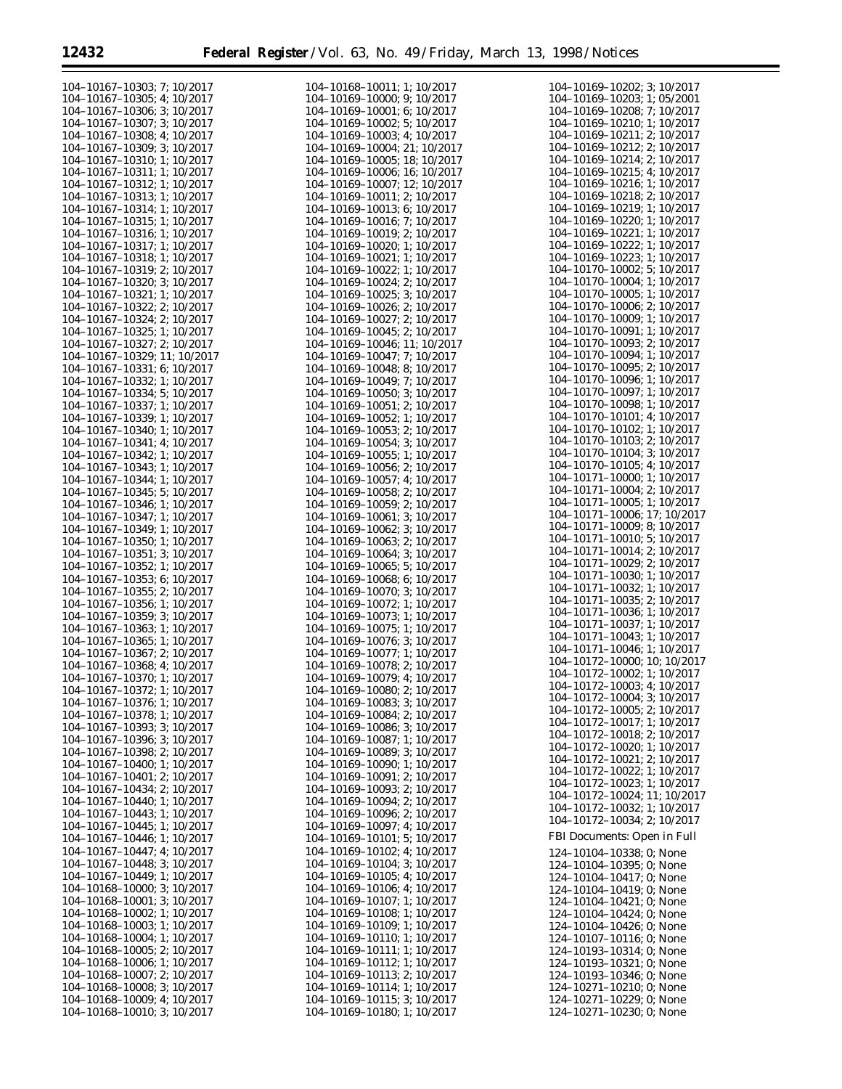Ξ

| 104-10167-10303; 7; 10/2017          | 104-10168-10011; 1; 10/2017  | 104-10169-10202; 3; 10/2017          |
|--------------------------------------|------------------------------|--------------------------------------|
|                                      |                              |                                      |
| 104-10167-10305; 4; 10/2017          | 104-10169-10000; 9; 10/2017  | 104-10169-10203; 1; 05/2001          |
| 104-10167-10306; 3; 10/2017          | 104-10169-10001; 6; 10/2017  | 104-10169-10208; 7; 10/2017          |
| 104-10167-10307; 3; 10/2017          | 104-10169-10002; 5; 10/2017  | 104-10169-10210; 1; 10/2017          |
|                                      |                              |                                      |
| 104-10167-10308; 4; 10/2017          | 104-10169-10003; 4; 10/2017  | 104-10169-10211; 2; 10/2017          |
| 104-10167-10309; 3; 10/2017          | 104-10169-10004; 21; 10/2017 | 104-10169-10212; 2; 10/2017          |
| 104-10167-10310; 1; 10/2017          | 104-10169-10005; 18; 10/2017 | 104-10169-10214; 2; 10/2017          |
|                                      |                              |                                      |
| 104-10167-10311; 1; 10/2017          | 104-10169-10006; 16; 10/2017 | $104 - 10169 - 10215$ ; 4; 10/2017   |
| 104-10167-10312; 1; 10/2017          | 104-10169-10007; 12; 10/2017 | 104-10169-10216; 1; 10/2017          |
|                                      | 104-10169-10011; 2; 10/2017  | 104-10169-10218; 2; 10/2017          |
| 104-10167-10313; 1; 10/2017          |                              |                                      |
| 104-10167-10314; 1; 10/2017          | 104-10169-10013; 6; 10/2017  | 104-10169-10219; 1; 10/2017          |
| 104-10167-10315; 1; 10/2017          | 104-10169-10016; 7; 10/2017  | 104-10169-10220; 1; 10/2017          |
|                                      |                              |                                      |
| 104-10167-10316; 1; 10/2017          | 104-10169-10019; 2; 10/2017  | 104-10169-10221; 1; 10/2017          |
| 104-10167-10317; 1; 10/2017          | 104-10169-10020; 1; 10/2017  | 104-10169-10222; 1; 10/2017          |
| 104-10167-10318; 1; 10/2017          | 104-10169-10021; 1; 10/2017  | 104-10169-10223; 1; 10/2017          |
|                                      |                              |                                      |
| 104-10167-10319; 2; 10/2017          | 104-10169-10022; 1; 10/2017  | 104-10170-10002; 5; 10/2017          |
| 104-10167-10320; 3; 10/2017          | 104-10169-10024; 2; 10/2017  | 104-10170-10004; 1; 10/2017          |
| 104-10167-10321; 1; 10/2017          | 104-10169-10025; 3; 10/2017  | 104-10170-10005; 1; 10/2017          |
|                                      |                              |                                      |
| 104-10167-10322; 2; 10/2017          | 104-10169-10026; 2; 10/2017  | 104-10170-10006; 2; 10/2017          |
| 104-10167-10324; 2; 10/2017          | 104-10169-10027; 2; 10/2017  | 104-10170-10009; 1; 10/2017          |
| 104-10167-10325; 1; 10/2017          | 104-10169-10045; 2; 10/2017  | 104-10170-10091; 1; 10/2017          |
|                                      |                              |                                      |
| 104-10167-10327; 2; 10/2017          | 104-10169-10046; 11; 10/2017 | $104 - 10170 - 10093$ ; 2; $10/2017$ |
| 104-10167-10329; 11; 10/2017         | 104-10169-10047; 7; 10/2017  | 104-10170-10094; 1; 10/2017          |
|                                      |                              | 104-10170-10095: 2: 10/2017          |
| 104-10167-10331; 6; 10/2017          | 104-10169-10048; 8; 10/2017  |                                      |
| 104-10167-10332; 1; 10/2017          | 104-10169-10049; 7; 10/2017  | 104-10170-10096; 1; 10/2017          |
| 104-10167-10334; 5; 10/2017          | 104-10169-10050; 3; 10/2017  | 104-10170-10097; 1; 10/2017          |
|                                      |                              | 104-10170-10098: 1: 10/2017          |
| 104-10167-10337; 1; 10/2017          | 104-10169-10051; 2; 10/2017  |                                      |
| 104-10167-10339; 1; 10/2017          | 104-10169-10052; 1; 10/2017  | 104-10170-10101; 4; 10/2017          |
| 104-10167-10340; 1; 10/2017          | 104-10169-10053; 2; 10/2017  | 104-10170-10102; 1; 10/2017          |
|                                      |                              | 104-10170-10103; 2; 10/2017          |
| 104-10167-10341; 4; 10/2017          | 104-10169-10054; 3; 10/2017  |                                      |
| 104-10167-10342; 1; 10/2017          | 104-10169-10055; 1; 10/2017  | 104-10170-10104; 3; 10/2017          |
| 104-10167-10343; 1; 10/2017          | 104-10169-10056; 2; 10/2017  | 104-10170-10105; 4; 10/2017          |
|                                      |                              | $104 - 10171 - 10000$ ; 1; $10/2017$ |
| 104-10167-10344; 1; 10/2017          | 104-10169-10057; 4; 10/2017  |                                      |
| 104-10167-10345; 5; 10/2017          | 104-10169-10058; 2; 10/2017  | 104-10171-10004; 2; 10/2017          |
| 104-10167-10346; 1; 10/2017          | 104-10169-10059; 2; 10/2017  | 104-10171-10005; 1; 10/2017          |
|                                      |                              | 104-10171-10006; 17; 10/2017         |
| 104-10167-10347; 1; 10/2017          | 104-10169-10061; 3; 10/2017  |                                      |
| 104-10167-10349; 1; 10/2017          | 104-10169-10062; 3; 10/2017  | $104 - 10171 - 10009$ ; 8; $10/2017$ |
| 104-10167-10350; 1; 10/2017          | 104-10169-10063; 2; 10/2017  | $104 - 10171 - 10010$ ; 5; $10/2017$ |
|                                      |                              | $104 - 10171 - 10014$ ; 2; $10/2017$ |
| 104-10167-10351; 3; 10/2017          | 104-10169-10064; 3; 10/2017  |                                      |
| 104-10167-10352; 1; 10/2017          | 104-10169-10065; 5; 10/2017  | $104 - 10171 - 10029$ ; 2; $10/2017$ |
| 104-10167-10353; 6; 10/2017          | 104-10169-10068; 6; 10/2017  | $104 - 10171 - 10030$ ; 1; 10/2017   |
|                                      | 104-10169-10070; 3; 10/2017  | $104 - 10171 - 10032$ ; 1; 10/2017   |
| 104-10167-10355; 2; 10/2017          |                              | $104 - 10171 - 10035$ ; 2; 10/2017   |
| 104-10167-10356; 1; 10/2017          | 104-10169-10072; 1; 10/2017  |                                      |
| 104-10167-10359; 3; 10/2017          | 104-10169-10073; 1; 10/2017  | 104-10171-10036; 1; 10/2017          |
| 104-10167-10363; 1; 10/2017          | 104-10169-10075; 1; 10/2017  | 104-10171-10037; 1; 10/2017          |
|                                      |                              | 104-10171-10043; 1; 10/2017          |
| 104-10167-10365; 1; 10/2017          | 104-10169-10076; 3; 10/2017  |                                      |
| 104-10167-10367; 2; 10/2017          | 104-10169-10077; 1; 10/2017  | $104 - 10171 - 10046$ ; 1; 10/2017   |
| 104-10167-10368; 4; 10/2017          | 104-10169-10078; 2; 10/2017  | 104-10172-10000; 10; 10/2017         |
|                                      |                              | 104-10172-10002; 1; 10/2017          |
| 104-10167-10370; 1; 10/2017          | 104-10169-10079; 4; 10/2017  |                                      |
| 104-10167-10372; 1; 10/2017          | 104-10169-10080; 2; 10/2017  | 104-10172-10003; 4; 10/2017          |
|                                      |                              | 104-10172-10004; 3; 10/2017          |
| 104-10167-10376; 1; 10/2017          | 104-10169-10083; 3; 10/2017  | $104 - 10172 - 10005$ ; 2; $10/2017$ |
| 104-10167-10378; 1; 10/2017          | 104-10169-10084; 2; 10/2017  |                                      |
| 104-10167-10393; 3; 10/2017          | 104-10169-10086; 3; 10/2017  | 104-10172-10017; 1; 10/2017          |
|                                      |                              | 104-10172-10018; 2; 10/2017          |
| 104-10167-10396; 3; 10/2017          | 104-10169-10087; 1; 10/2017  | 104-10172-10020; 1; 10/2017          |
| 104-10167-10398; 2; 10/2017          | 104-10169-10089; 3; 10/2017  |                                      |
| 104-10167-10400; 1; 10/2017          | 104-10169-10090; 1; 10/2017  | 104-10172-10021; 2; 10/2017          |
|                                      |                              | 104-10172-10022; 1; 10/2017          |
| $104 - 10167 - 10401$ ; 2; $10/2017$ | 104-10169-10091; 2; 10/2017  | 104-10172-10023; 1; 10/2017          |
| 104-10167-10434; 2; 10/2017          | 104-10169-10093; 2; 10/2017  |                                      |
| 104-10167-10440; 1; 10/2017          | 104-10169-10094; 2; 10/2017  | 104-10172-10024; 11; 10/2017         |
|                                      |                              | 104-10172-10032; 1; 10/2017          |
| 104-10167-10443; 1; 10/2017          | 104-10169-10096; 2; 10/2017  | 104-10172-10034; 2; 10/2017          |
| 104-10167-10445; 1; 10/2017          | 104-10169-10097; 4; 10/2017  |                                      |
| 104-10167-10446; 1; 10/2017          | 104-10169-10101; 5; 10/2017  | FBI Documents: Open in Full          |
|                                      |                              |                                      |
| 104-10167-10447; 4; 10/2017          | 104-10169-10102; 4; 10/2017  | 124-10104-10338; 0; None             |
| 104-10167-10448; 3; 10/2017          | 104-10169-10104; 3; 10/2017  | 124-10104-10395; 0; None             |
| 104-10167-10449; 1; 10/2017          | 104-10169-10105; 4; 10/2017  | 124-10104-10417; 0; None             |
|                                      |                              |                                      |
| 104-10168-10000; 3; 10/2017          | 104-10169-10106; 4; 10/2017  | $124 - 10104 - 10419$ ; 0; None      |
| $104 - 10168 - 10001$ ; 3; $10/2017$ | 104-10169-10107; 1; 10/2017  | $124-10104-10421$ ; 0; None          |
| $104 - 10168 - 10002$ ; 1; $10/2017$ | 104-10169-10108; 1; 10/2017  | 124-10104-10424; 0; None             |
|                                      |                              |                                      |
| $104 - 10168 - 10003$ ; 1; 10/2017   | 104-10169-10109; 1; 10/2017  | 124-10104-10426; 0; None             |
| 104-10168-10004; 1; 10/2017          | 104-10169-10110; 1; 10/2017  | $124 - 10107 - 10116$ ; 0; None      |
| $104 - 10168 - 10005$ ; 2; $10/2017$ | 104-10169-10111; 1; 10/2017  | 124-10193-10314; 0; None             |
|                                      |                              |                                      |
| 104-10168-10006; 1; 10/2017          | 104-10169-10112; 1; 10/2017  | $124 - 10193 - 10321$ ; 0; None      |
| $104 - 10168 - 10007$ ; 2; $10/2017$ | 104-10169-10113; 2; 10/2017  | 124-10193-10346; 0; None             |
| 104-10168-10008; 3; 10/2017          | 104-10169-10114; 1; 10/2017  | $124-10271-10210$ ; 0; None          |
| 104-10168-10009; 4; 10/2017          | 104-10169-10115; 3; 10/2017  | 124-10271-10229; 0; None             |
|                                      |                              |                                      |
| 104-10168-10010; 3; 10/2017          | 104-10169-10180; 1; 10/2017  | 124-10271-10230; 0; None             |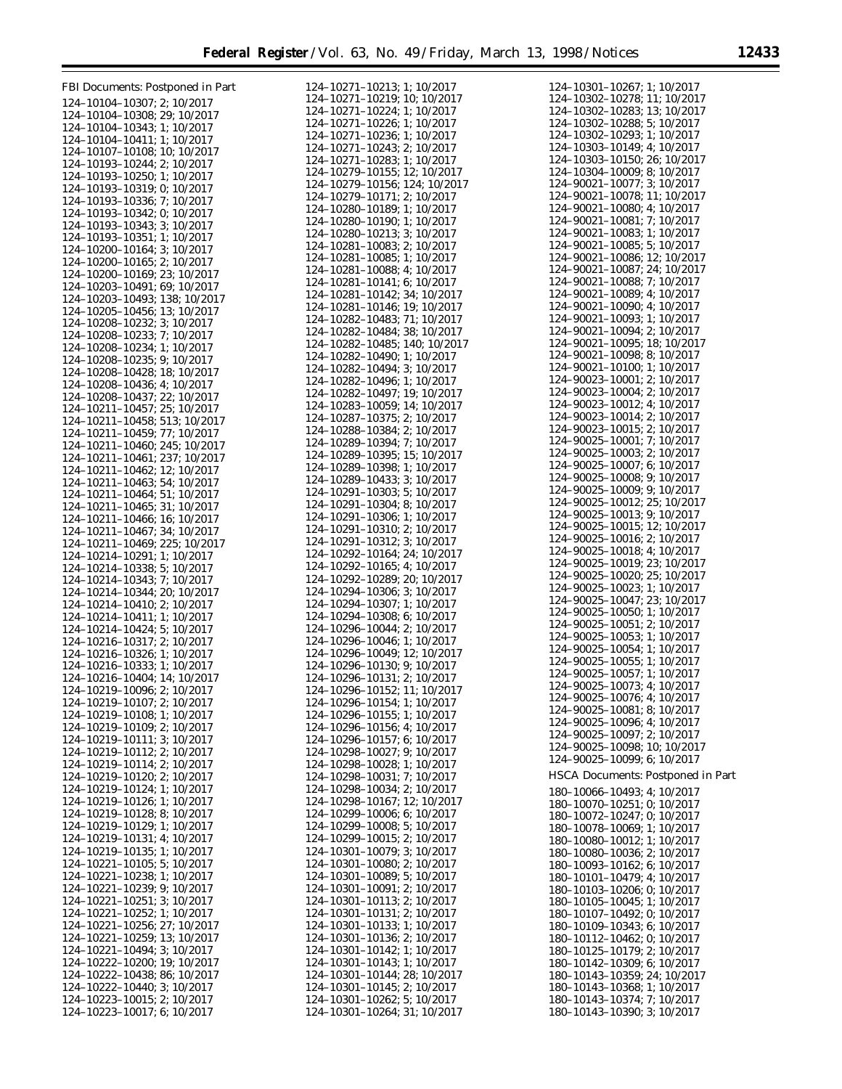| FBI Documents: Postponed in Part                                   | 124-10271-10213; 1; 10/2017                                              | 124-10301-10267; 1; 10/2017                                        |
|--------------------------------------------------------------------|--------------------------------------------------------------------------|--------------------------------------------------------------------|
| 124-10104-10307; 2; 10/2017                                        | 124-10271-10219; 10; 10/2017                                             | 124-10302-10278; 11; 10/2017                                       |
| 124-10104-10308; 29; 10/2017                                       | 124-10271-10224; 1; 10/2017                                              | 124-10302-10283; 13; 10/2017                                       |
| 124-10104-10343; 1; 10/2017                                        | 124-10271-10226; 1; 10/2017                                              | 124-10302-10288; 5; 10/2017                                        |
| 124-10104-10411; 1; 10/2017                                        | 124-10271-10236; 1; 10/2017<br>124-10271-10243; 2; 10/2017               | 124-10302-10293; 1; 10/2017<br>124-10303-10149; 4; 10/2017         |
| 124-10107-10108; 10; 10/2017                                       | 124-10271-10283; 1; 10/2017                                              | 124-10303-10150; 26; 10/2017                                       |
| 124-10193-10244; 2; 10/2017<br>124-10193-10250; 1; 10/2017         | 124-10279-10155; 12; 10/2017                                             | 124-10304-10009; 8; 10/2017                                        |
| 124-10193-10319; 0; 10/2017                                        | 124-10279-10156; 124; 10/2017                                            | 124-90021-10077; 3; 10/2017                                        |
| 124-10193-10336; 7; 10/2017                                        | 124-10279-10171; 2; 10/2017                                              | 124-90021-10078; 11; 10/2017                                       |
| 124-10193-10342; 0; 10/2017                                        | 124-10280-10189; 1; 10/2017                                              | 124-90021-10080; 4; 10/2017                                        |
| 124-10193-10343; 3; 10/2017                                        | 124-10280-10190; 1; 10/2017<br>124-10280-10213; 3; 10/2017               | 124-90021-10081; 7; 10/2017<br>124-90021-10083; 1; 10/2017         |
| 124-10193-10351; 1; 10/2017                                        | 124-10281-10083; 2; 10/2017                                              | 124-90021-10085; 5; 10/2017                                        |
| 124-10200-10164; 3; 10/2017<br>124-10200-10165; 2; 10/2017         | 124-10281-10085; 1; 10/2017                                              | 124-90021-10086; 12; 10/2017                                       |
| 124-10200-10169; 23; 10/2017                                       | 124-10281-10088; 4; 10/2017                                              | 124-90021-10087; 24; 10/2017                                       |
| 124-10203-10491; 69; 10/2017                                       | 124-10281-10141; 6; 10/2017                                              | 124-90021-10088; 7; 10/2017                                        |
| 124-10203-10493; 138; 10/2017                                      | 124-10281-10142; 34; 10/2017                                             | 124-90021-10089; 4; 10/2017                                        |
| 124-10205-10456; 13; 10/2017                                       | 124-10281-10146; 19; 10/2017                                             | 124-90021-10090; 4; 10/2017<br>124-90021-10093; 1; 10/2017         |
| 124-10208-10232; 3; 10/2017                                        | 124-10282-10483; 71; 10/2017<br>124-10282-10484; 38; 10/2017             | 124-90021-10094; 2; 10/2017                                        |
| 124-10208-10233; 7; 10/2017                                        | 124-10282-10485; 140; 10/2017                                            | 124-90021-10095; 18; 10/2017                                       |
| 124-10208-10234; 1; 10/2017<br>124-10208-10235; 9; 10/2017         | 124-10282-10490; 1; 10/2017                                              | 124-90021-10098; 8; 10/2017                                        |
| 124-10208-10428; 18; 10/2017                                       | 124-10282-10494; 3; 10/2017                                              | 124-90021-10100; 1; 10/2017                                        |
| 124-10208-10436; 4; 10/2017                                        | 124-10282-10496; 1; 10/2017                                              | 124-90023-10001; 2; 10/2017                                        |
| 124-10208-10437; 22; 10/2017                                       | 124-10282-10497; 19; 10/2017                                             | 124-90023-10004; 2; 10/2017                                        |
| 124-10211-10457; 25; 10/2017                                       | 124-10283-10059; 14; 10/2017                                             | 124-90023-10012; 4; 10/2017<br>124-90023-10014; 2; 10/2017         |
| 124-10211-10458; 513; 10/2017                                      | 124-10287-10375; 2; 10/2017<br>124-10288-10384; 2; 10/2017               | 124-90023-10015; 2; 10/2017                                        |
| 124-10211-10459; 77; 10/2017                                       | 124-10289-10394; 7; 10/2017                                              | 124-90025-10001; 7; 10/2017                                        |
| 124-10211-10460; 245; 10/2017<br>124-10211-10461; 237; 10/2017     | 124-10289-10395; 15; 10/2017                                             | $124 - 90025 - 10003$ ; 2; $10/2017$                               |
| 124-10211-10462; 12; 10/2017                                       | 124-10289-10398; 1; 10/2017                                              | 124-90025-10007; 6; 10/2017                                        |
| 124-10211-10463; 54; 10/2017                                       | 124-10289-10433; 3; 10/2017                                              | $124 - 90025 - 10008$ ; 9; 10/2017                                 |
| 124-10211-10464; 51; 10/2017                                       | $124 - 10291 - 10303$ ; 5; 10/2017                                       | 124-90025-10009; 9; 10/2017                                        |
| 124-10211-10465; 31; 10/2017                                       | 124-10291-10304; 8; 10/2017                                              | 124-90025-10012; 25; 10/2017<br>124-90025-10013; 9; 10/2017        |
| 124-10211-10466; 16; 10/2017                                       | 124-10291-10306; 1; 10/2017<br>124-10291-10310; 2; 10/2017               | 124-90025-10015; 12; 10/2017                                       |
| 124-10211-10467; 34; 10/2017<br>124-10211-10469; 225; 10/2017      | 124-10291-10312; 3; 10/2017                                              | 124-90025-10016; 2; 10/2017                                        |
| 124-10214-10291; 1; 10/2017                                        | 124-10292-10164; 24; 10/2017                                             | $124 - 90025 - 10018$ ; 4; 10/2017                                 |
| 124-10214-10338; 5; 10/2017                                        | $124 - 10292 - 10165$ ; 4; 10/2017                                       | 124-90025-10019; 23; 10/2017                                       |
| 124-10214-10343; 7; 10/2017                                        | 124-10292-10289; 20; 10/2017                                             | 124-90025-10020; 25; 10/2017                                       |
| 124-10214-10344; 20; 10/2017                                       | 124-10294-10306; 3; 10/2017                                              | $124 - 90025 - 10023$ ; 1; 10/2017<br>124-90025-10047; 23; 10/2017 |
| 124-10214-10410; 2; 10/2017                                        | 124-10294-10307; 1; 10/2017                                              | $124 - 90025 - 10050$ ; 1; 10/2017                                 |
| 124-10214-10411; 1; 10/2017<br>124-10214-10424; 5; 10/2017         | 124-10294-10308; 6; 10/2017<br>124-10296-10044; 2; 10/2017               | $124 - 90025 - 10051$ ; 2; 10/2017                                 |
| 124-10216-10317; 2; 10/2017                                        | 124-10296-10046; 1; 10/2017                                              | 124-90025-10053; 1; 10/2017                                        |
| 124-10216-10326; 1; 10/2017                                        | 124-10296-10049; 12; 10/2017                                             | 124-90025-10054; 1; 10/2017                                        |
| 124-10216-10333; 1; 10/2017                                        | 124-10296-10130; 9; 10/2017                                              | 124-90025-10055; 1; 10/2017                                        |
| 124-10216-10404; 14; 10/2017                                       | 124-10296-10131; 2; 10/2017                                              | 124-90025-10057; 1; 10/2017<br>124-90025-10073; 4; 10/2017         |
| 124-10219-10096: 2: 10/2017                                        | 124-10296-10152; 11; 10/2017                                             | 124-90025-10076; 4; 10/2017                                        |
| 124-10219-10107; 2; 10/2017                                        | 124-10296-10154; 1; 10/2017                                              | 124-90025-10081; 8; 10/2017                                        |
| 124-10219-10108; 1; 10/2017<br>124-10219-10109; 2; 10/2017         | 124-10296-10155; 1; 10/2017<br>124-10296-10156; 4; 10/2017               | $124 - 90025 - 10096$ ; 4; $10/2017$                               |
| 124-10219-10111; 3; 10/2017                                        | $124 - 10296 - 10157$ ; 6; 10/2017                                       | $124 - 90025 - 10097$ ; 2; 10/2017                                 |
| 124-10219-10112; 2; 10/2017                                        | 124-10298-10027; 9; 10/2017                                              | 124-90025-10098; 10; 10/2017                                       |
| $124 - 10219 - 10114$ ; 2; 10/2017                                 | $124 - 10298 - 10028$ ; 1; 10/2017                                       | $124 - 90025 - 10099$ ; 6; $10/2017$                               |
| 124-10219-10120; 2; 10/2017                                        | 124-10298-10031; 7; 10/2017                                              | <b>HSCA Documents: Postponed in Part</b>                           |
| 124-10219-10124; 1; 10/2017                                        | 124-10298-10034; 2; 10/2017                                              | 180-10066-10493; 4; 10/2017                                        |
| 124-10219-10126; 1; 10/2017                                        | 124-10298-10167; 12; 10/2017                                             | 180-10070-10251; 0; 10/2017                                        |
| 124-10219-10128; 8; 10/2017<br>124-10219-10129; 1; 10/2017         | $124 - 10299 - 10006$ ; 6; 10/2017<br>$124 - 10299 - 10008$ ; 5; 10/2017 | 180-10072-10247; 0; 10/2017                                        |
| $124 - 10219 - 10131$ ; 4; 10/2017                                 | $124 - 10299 - 10015$ ; 2; 10/2017                                       | 180-10078-10069; 1; 10/2017<br>180-10080-10012; 1; 10/2017         |
| 124-10219-10135; 1; 10/2017                                        | 124-10301-10079; 3; 10/2017                                              | 180-10080-10036; 2; 10/2017                                        |
| 124-10221-10105; 5; 10/2017                                        | $124 - 10301 - 10080$ ; 2; 10/2017                                       | 180-10093-10162; 6; 10/2017                                        |
| 124-10221-10238; 1; 10/2017                                        | 124-10301-10089; 5; 10/2017                                              | 180-10101-10479; 4; 10/2017                                        |
| $124 - 10221 - 10239$ ; 9; 10/2017                                 | $124 - 10301 - 10091$ ; 2; 10/2017                                       | 180-10103-10206; 0; 10/2017                                        |
| 124-10221-10251; 3; 10/2017                                        | 124-10301-10113; 2; 10/2017                                              | 180-10105-10045; 1; 10/2017                                        |
| $124 - 10221 - 10252$ ; 1; 10/2017<br>124-10221-10256; 27; 10/2017 | $124 - 10301 - 10131$ ; 2; 10/2017<br>124-10301-10133; 1; 10/2017        | 180-10107-10492; 0; 10/2017<br>180-10109-10343; 6; 10/2017         |
| 124-10221-10259; 13; 10/2017                                       | 124-10301-10136; 2; 10/2017                                              | 180-10112-10462; 0; 10/2017                                        |
| 124-10221-10494; 3; 10/2017                                        | 124-10301-10142; 1; 10/2017                                              | 180-10125-10179; 2; 10/2017                                        |
| 124-10222-10200; 19; 10/2017                                       | 124-10301-10143; 1; 10/2017                                              | 180-10142-10309; 6; 10/2017                                        |
| 124-10222-10438; 86; 10/2017                                       | 124-10301-10144; 28; 10/2017                                             | 180-10143-10359; 24; 10/2017                                       |
| 124-10222-10440; 3; 10/2017                                        | $124 - 10301 - 10145$ ; 2; 10/2017                                       | 180-10143-10368; 1; 10/2017                                        |
| 124-10223-10015; 2; 10/2017<br>124-10223-10017; 6; 10/2017         | $124 - 10301 - 10262$ ; 5; 10/2017<br>124-10301-10264; 31; 10/2017       | 180-10143-10374; 7; 10/2017<br>180-10143-10390; 3; 10/2017         |
|                                                                    |                                                                          |                                                                    |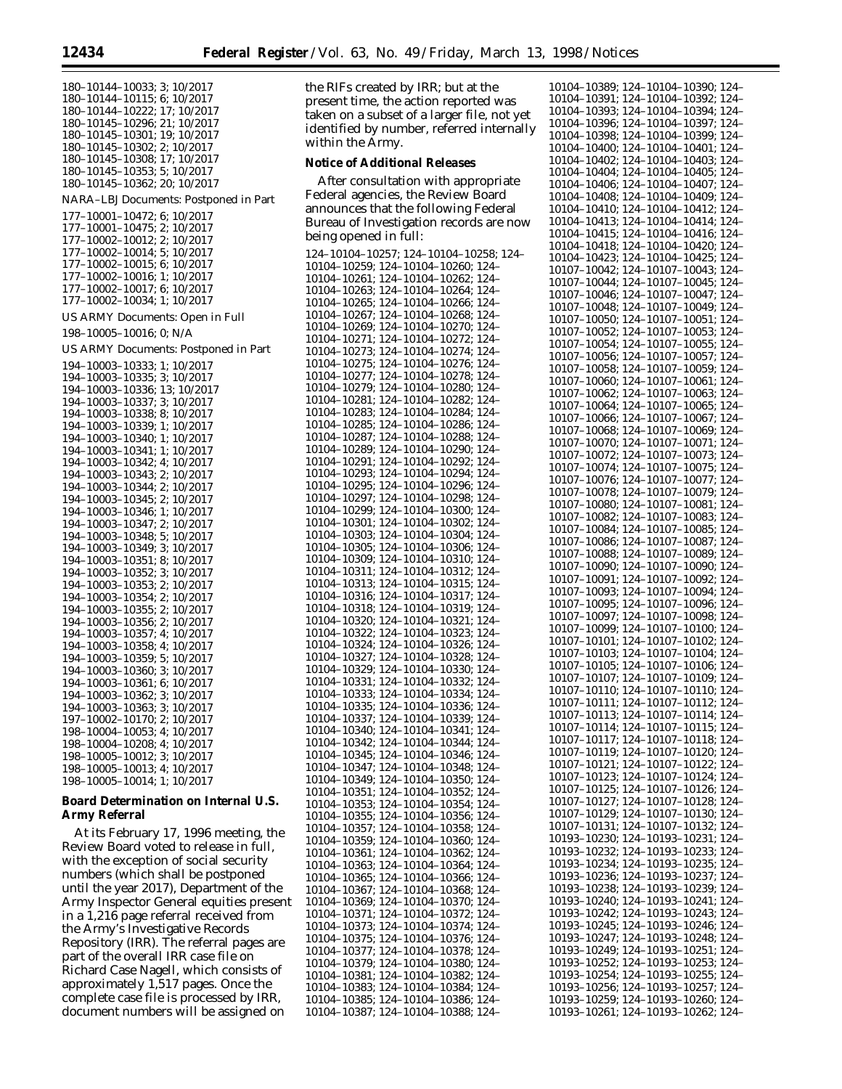180–10144–10033; 3; 10/2017 180–10144–10115; 6; 10/2017 180–10144–10222; 17; 10/2017 180–10145–10296; 21; 10/2017 180–10145–10301; 19; 10/2017 180–10145–10302; 2; 10/2017 180–10145–10308; 17; 10/2017 180–10145–10353; 5; 10/2017 180–10145–10362; 20; 10/2017 NARA–LBJ Documents: Postponed in Part 177–10001–10472; 6; 10/2017 177–10001–10475; 2; 10/2017 177–10002–10012; 2; 10/2017 177–10002–10014; 5; 10/2017 177–10002–10015; 6; 10/2017 177–10002–10016; 1; 10/2017 177–10002–10017; 6; 10/2017 177–10002–10034; 1; 10/2017 US ARMY Documents: Open in Full 198–10005–10016; 0; N/A US ARMY Documents: Postponed in Part 194–10003–10333; 1; 10/2017 194–10003–10335; 3; 10/2017 194–10003–10336; 13; 10/2017 194–10003–10337; 3; 10/2017 194–10003–10338; 8; 10/2017 194–10003–10339; 1; 10/2017 194–10003–10340; 1; 10/2017 194–10003–10341; 1; 10/2017 194–10003–10342; 4; 10/2017 194–10003–10343; 2; 10/2017 194–10003–10344; 2; 10/2017 194–10003–10345; 2; 10/2017 194–10003–10346; 1; 10/2017 194–10003–10347; 2; 10/2017 194–10003–10348; 5; 10/2017 194–10003–10349; 3; 10/2017 194–10003–10351; 8; 10/2017 194–10003–10352; 3; 10/2017 194–10003–10353; 2; 10/2017 194–10003–10354; 2; 10/2017 194–10003–10355; 2; 10/2017 194–10003–10356; 2; 10/2017 194–10003–10357; 4; 10/2017 194–10003–10358; 4; 10/2017 194–10003–10359; 5; 10/2017 194–10003–10360; 3; 10/2017 194–10003–10361; 6; 10/2017 194–10003–10362; 3; 10/2017 194–10003–10363; 3; 10/2017 197–10002–10170; 2; 10/2017 198–10004–10053; 4; 10/2017 198–10004–10208; 4; 10/2017 198–10005–10012; 3; 10/2017 198–10005–10013; 4; 10/2017 198–10005–10014; 1; 10/2017

### **Board Determination on Internal U.S. Army Referral**

At its February 17, 1996 meeting, the Review Board voted to release in full, with the exception of social security numbers (which shall be postponed until the year 2017), Department of the Army Inspector General equities present in a 1,216 page referral received from the Army's Investigative Records Repository (IRR). The referral pages are part of the overall IRR case file on Richard Case Nagell, which consists of approximately 1,517 pages. Once the complete case file is processed by IRR, document numbers will be assigned on

the RIFs created by IRR; but at the present time, the action reported was taken on a subset of a larger file, not yet identified by number, referred internally within the Army.

#### **Notice of Additional Releases**

After consultation with appropriate Federal agencies, the Review Board announces that the following Federal Bureau of Investigation records are now being opened in full:

124–10104–10257; 124–10104–10258; 124– 10104–10259; 124–10104–10260; 124– 10104–10261; 124–10104–10262; 124– 10104–10263; 124–10104–10264; 124– 10104–10265; 124–10104–10266; 124– 10104–10267; 124–10104–10268; 124– 10104–10269; 124–10104–10270; 124– 10104–10271; 124–10104–10272; 124– 10104–10273; 124–10104–10274; 124– 10104–10275; 124–10104–10276; 124– 10104–10277; 124–10104–10278; 124– 10104–10279; 124–10104–10280; 124– 10104–10281; 124–10104–10282; 124– 10104–10283; 124–10104–10284; 124– 10104–10285; 124–10104–10286; 124– 10104–10287; 124–10104–10288; 124– 10104–10289; 124–10104–10290; 124– 10104–10291; 124–10104–10292; 124– 10104–10293; 124–10104–10294; 124– 10104–10295; 124–10104–10296; 124– 10104–10297; 124–10104–10298; 124– 10104–10299; 124–10104–10300; 124– 10104–10301; 124–10104–10302; 124– 10104–10303; 124–10104–10304; 124– 10104–10305; 124–10104–10306; 124– 10104–10309; 124–10104–10310; 124– 10104–10311; 124–10104–10312; 124– 10104–10313; 124–10104–10315; 124– 10104–10316; 124–10104–10317; 124– 10104–10318; 124–10104–10319; 124– 10104–10320; 124–10104–10321; 124– 10104–10322; 124–10104–10323; 124– 10104–10324; 124–10104–10326; 124– 10104–10327; 124–10104–10328; 124– 10104–10329; 124–10104–10330; 124– 10104–10331; 124–10104–10332; 124– 10104–10333; 124–10104–10334; 124– 10104–10335; 124–10104–10336; 124– 10104–10337; 124–10104–10339; 124– 10104–10340; 124–10104–10341; 124– 10104–10342; 124–10104–10344; 124– 10104–10345; 124–10104–10346; 124– 10104–10347; 124–10104–10348; 124– 10104–10349; 124–10104–10350; 124– 10104–10351; 124–10104–10352; 124– 10104–10353; 124–10104–10354; 124– 10104–10355; 124–10104–10356; 124– 10104–10357; 124–10104–10358; 124– 10104–10359; 124–10104–10360; 124– 10104–10361; 124–10104–10362; 124– 10104–10363; 124–10104–10364; 124– 10104–10365; 124–10104–10366; 124– 10104–10367; 124–10104–10368; 124– 10104–10369; 124–10104–10370; 124– 10104–10371; 124–10104–10372; 124– 10104–10373; 124–10104–10374; 124– 10104–10375; 124–10104–10376; 124– 10104–10377; 124–10104–10378; 124– 10104–10379; 124–10104–10380; 124– 10104–10381; 124–10104–10382; 124– 10104–10383; 124–10104–10384; 124– 10104–10385; 124–10104–10386; 124– 10104–10387; 124–10104–10388; 124–

10104–10389; 124–10104–10390; 124– 10104–10391; 124–10104–10392; 124– 10104–10393; 124–10104–10394; 124– 10104–10396; 124–10104–10397; 124– 10104–10398; 124–10104–10399; 124– 10104–10400; 124–10104–10401; 124– 10104–10402; 124–10104–10403; 124– 10104–10404; 124–10104–10405; 124– 10104–10406; 124–10104–10407; 124– 10104–10408; 124–10104–10409; 124– 10104–10410; 124–10104–10412; 124– 10104–10413; 124–10104–10414; 124– 10104–10415; 124–10104–10416; 124– 10104–10418; 124–10104–10420; 124– 10104–10423; 124–10104–10425; 124– 10107–10042; 124–10107–10043; 124– 10107–10044; 124–10107–10045; 124– 10107–10046; 124–10107–10047; 124– 10107–10048; 124–10107–10049; 124– 10107–10050; 124–10107–10051; 124– 10107–10052; 124–10107–10053; 124– 10107–10054; 124–10107–10055; 124– 10107–10056; 124–10107–10057; 124– 10107–10058; 124–10107–10059; 124– 10107–10060; 124–10107–10061; 124– 10107–10062; 124–10107–10063; 124– 10107–10064; 124–10107–10065; 124– 10107–10066; 124–10107–10067; 124– 10107–10068; 124–10107–10069; 124– 10107–10070; 124–10107–10071; 124– 10107–10072; 124–10107–10073; 124– 10107–10074; 124–10107–10075; 124– 10107–10076; 124–10107–10077; 124– 10107–10078; 124–10107–10079; 124– 10107–10080; 124–10107–10081; 124– 10107–10082; 124–10107–10083; 124– 10107–10084; 124–10107–10085; 124– 10107–10086; 124–10107–10087; 124– 10107–10088; 124–10107–10089; 124– 10107–10090; 124–10107–10090; 124– 10107–10091; 124–10107–10092; 124– 10107–10093; 124–10107–10094; 124– 10107–10095; 124–10107–10096; 124– 10107–10097; 124–10107–10098; 124– 10107–10099; 124–10107–10100; 124– 10107–10101; 124–10107–10102; 124– 10107–10103; 124–10107–10104; 124– 10107–10105; 124–10107–10106; 124– 10107–10107; 124–10107–10109; 124– 10107–10110; 124–10107–10110; 124– 10107–10111; 124–10107–10112; 124– 10107–10113; 124–10107–10114; 124– 10107–10114; 124–10107–10115; 124– 10107–10117; 124–10107–10118; 124– 10107–10119; 124–10107–10120; 124– 10107–10121; 124–10107–10122; 124– 10107–10123; 124–10107–10124; 124– 10107–10125; 124–10107–10126; 124– 10107–10127; 124–10107–10128; 124– 10107–10129; 124–10107–10130; 124– 10107–10131; 124–10107–10132; 124– 10193–10230; 124–10193–10231; 124– 10193–10232; 124–10193–10233; 124– 10193–10234; 124–10193–10235; 124– 10193–10236; 124–10193–10237; 124– 10193–10238; 124–10193–10239; 124– 10193–10240; 124–10193–10241; 124– 10193–10242; 124–10193–10243; 124– 10193–10245; 124–10193–10246; 124– 10193–10247; 124–10193–10248; 124– 10193–10249; 124–10193–10251; 124– 10193–10252; 124–10193–10253; 124– 10193–10254; 124–10193–10255; 124– 10193–10256; 124–10193–10257; 124– 10193–10259; 124–10193–10260; 124– 10193–10261; 124–10193–10262; 124–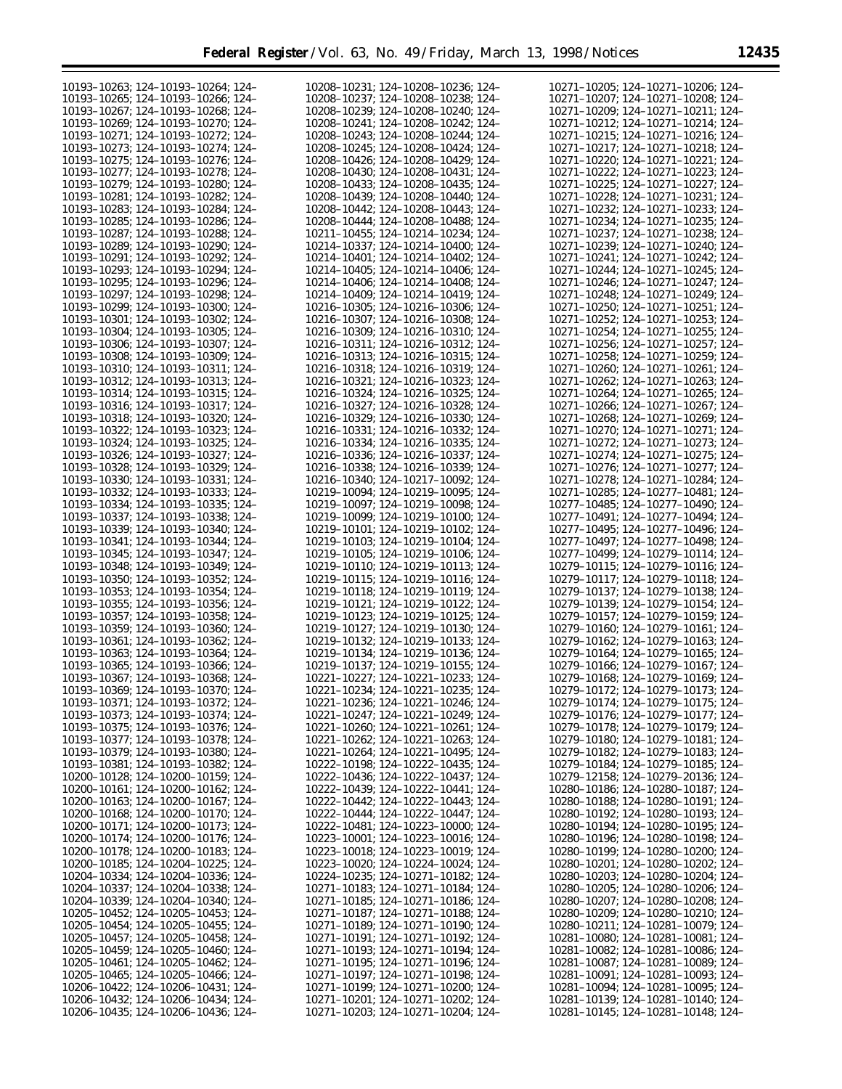| 10193-10263; 124-10193-10264; 124-                                            | 10208-10231; 124-10208-10236; 124-                                       | 10271-10205; 124-10271-10206; 124-                                       |
|-------------------------------------------------------------------------------|--------------------------------------------------------------------------|--------------------------------------------------------------------------|
| 10193-10265; 124-10193-10266; 124-                                            | 10208-10237; 124-10208-10238; 124-                                       | 10271-10207; 124-10271-10208; 124-                                       |
|                                                                               |                                                                          |                                                                          |
| 10193-10267; 124-10193-10268; 124-                                            | 10208-10239; 124-10208-10240; 124-                                       | 10271-10209; 124-10271-10211; 124-                                       |
| 10193-10269; 124-10193-10270; 124-                                            | 10208-10241; 124-10208-10242; 124-                                       | 10271-10212; 124-10271-10214; 124-                                       |
| 10193-10271; 124-10193-10272; 124-                                            | 10208-10243; 124-10208-10244; 124-                                       | 10271-10215; 124-10271-10216; 124-                                       |
| 10193-10273; 124-10193-10274; 124-                                            | 10208-10245; 124-10208-10424; 124-                                       | 10271-10217; 124-10271-10218; 124-                                       |
| 10193-10275; 124-10193-10276; 124-                                            | 10208-10426; 124-10208-10429; 124-                                       | 10271-10220; 124-10271-10221; 124-                                       |
|                                                                               |                                                                          |                                                                          |
| 10193-10277; 124-10193-10278; 124-                                            | 10208-10430; 124-10208-10431; 124-                                       | 10271-10222; 124-10271-10223; 124-                                       |
| 10193-10279; 124-10193-10280; 124-                                            | 10208-10433; 124-10208-10435; 124-                                       | 10271-10225; 124-10271-10227; 124-                                       |
| 10193-10281; 124-10193-10282; 124-                                            | 10208-10439; 124-10208-10440; 124-                                       | 10271-10228; 124-10271-10231; 124-                                       |
| 10193-10283; 124-10193-10284; 124-                                            | 10208-10442; 124-10208-10443; 124-                                       | 10271-10232; 124-10271-10233; 124-                                       |
|                                                                               |                                                                          |                                                                          |
| 10193-10285; 124-10193-10286; 124-                                            | 10208-10444; 124-10208-10488; 124-                                       | 10271-10234; 124-10271-10235; 124-                                       |
| 10193-10287; 124-10193-10288; 124-                                            | 10211-10455; 124-10214-10234; 124-                                       | 10271-10237; 124-10271-10238; 124-                                       |
| 10193-10289; 124-10193-10290; 124-                                            | 10214-10337; 124-10214-10400; 124-                                       | 10271-10239: 124-10271-10240: 124-                                       |
| 10193-10291; 124-10193-10292; 124-                                            | 10214-10401; 124-10214-10402; 124-                                       | 10271-10241; 124-10271-10242; 124-                                       |
|                                                                               |                                                                          |                                                                          |
| 10193-10293; 124-10193-10294; 124-                                            | 10214-10405; 124-10214-10406; 124-                                       | 10271-10244; 124-10271-10245; 124-                                       |
| 10193-10295; 124-10193-10296; 124-                                            | 10214-10406; 124-10214-10408; 124-                                       | 10271-10246; 124-10271-10247; 124-                                       |
| 10193-10297; 124-10193-10298; 124-                                            | 10214-10409; 124-10214-10419; 124-                                       | 10271-10248; 124-10271-10249; 124-                                       |
| 10193-10299; 124-10193-10300; 124-                                            | 10216-10305; 124-10216-10306; 124-                                       | 10271-10250; 124-10271-10251; 124-                                       |
| 10193-10301; 124-10193-10302; 124-                                            | 10216-10307; 124-10216-10308; 124-                                       | 10271-10252; 124-10271-10253; 124-                                       |
|                                                                               |                                                                          |                                                                          |
| 10193-10304; 124-10193-10305; 124-                                            | 10216-10309; 124-10216-10310; 124-                                       | 10271-10254; 124-10271-10255; 124-                                       |
| 10193-10306; 124-10193-10307; 124-                                            | 10216-10311; 124-10216-10312; 124-                                       | 10271-10256; 124-10271-10257; 124-                                       |
| 10193-10308; 124-10193-10309; 124-                                            | 10216-10313; 124-10216-10315; 124-                                       | 10271-10258; 124-10271-10259; 124-                                       |
| 10193-10310; 124-10193-10311; 124-                                            | 10216-10318; 124-10216-10319; 124-                                       | 10271-10260; 124-10271-10261; 124-                                       |
|                                                                               |                                                                          |                                                                          |
| 10193-10312; 124-10193-10313; 124-                                            | 10216-10321; 124-10216-10323; 124-                                       | 10271-10262; 124-10271-10263; 124-                                       |
| 10193-10314; 124-10193-10315; 124-                                            | 10216-10324; 124-10216-10325; 124-                                       | 10271-10264; 124-10271-10265; 124-                                       |
| 10193-10316; 124-10193-10317; 124-                                            | 10216-10327; 124-10216-10328; 124-                                       | 10271-10266; 124-10271-10267; 124-                                       |
| 10193-10318; 124-10193-10320; 124-                                            | 10216-10329; 124-10216-10330; 124-                                       | 10271-10268; 124-10271-10269; 124-                                       |
|                                                                               |                                                                          |                                                                          |
| 10193-10322; 124-10193-10323; 124-                                            | 10216-10331; 124-10216-10332; 124-                                       | 10271-10270; 124-10271-10271; 124-                                       |
| 10193-10324; 124-10193-10325; 124-                                            | 10216-10334; 124-10216-10335; 124-                                       | 10271-10272; 124-10271-10273; 124-                                       |
| 10193-10326; 124-10193-10327; 124-                                            | 10216-10336; 124-10216-10337; 124-                                       | 10271-10274; 124-10271-10275; 124-                                       |
| 10193-10328; 124-10193-10329; 124-                                            | 10216-10338; 124-10216-10339; 124-                                       | 10271-10276; 124-10271-10277; 124-                                       |
|                                                                               |                                                                          |                                                                          |
| 10193-10330; 124-10193-10331; 124-                                            | 10216-10340; 124-10217-10092; 124-                                       | 10271-10278; 124-10271-10284; 124-                                       |
| 10193-10332; 124-10193-10333; 124-                                            | 10219-10094; 124-10219-10095; 124-                                       | 10271-10285; 124-10277-10481; 124-                                       |
| 10193-10334; 124-10193-10335; 124-                                            | 10219-10097; 124-10219-10098; 124-                                       | 10277-10485; 124-10277-10490; 124-                                       |
| 10193-10337; 124-10193-10338; 124-                                            | 10219-10099; 124-10219-10100; 124-                                       | 10277-10491; 124-10277-10494; 124-                                       |
| 10193-10339; 124-10193-10340; 124-                                            | 10219-10101; 124-10219-10102; 124-                                       | 10277-10495; 124-10277-10496; 124-                                       |
| 10193-10341; 124-10193-10344; 124-                                            | 10219-10103; 124-10219-10104; 124-                                       | 10277-10497; 124-10277-10498; 124-                                       |
|                                                                               |                                                                          |                                                                          |
| 10193-10345; 124-10193-10347; 124-                                            | 10219-10105; 124-10219-10106; 124-                                       | 10277-10499; 124-10279-10114; 124-                                       |
| 10193-10348; 124-10193-10349; 124-                                            | 10219-10110; 124-10219-10113; 124-                                       | 10279-10115; 124-10279-10116; 124-                                       |
| 10193-10350; 124-10193-10352; 124-                                            | 10219-10115; 124-10219-10116; 124-                                       | 10279-10117; 124-10279-10118; 124-                                       |
| 10193-10353; 124-10193-10354; 124-                                            | 10219-10118; 124-10219-10119; 124-                                       | 10279-10137; 124-10279-10138; 124-                                       |
| 10193-10355; 124-10193-10356; 124-                                            | 10219-10121; 124-10219-10122; 124-                                       | 10279-10139; 124-10279-10154; 124-                                       |
|                                                                               |                                                                          |                                                                          |
| 10193-10357; 124-10193-10358; 124-                                            | 10219-10123; 124-10219-10125; 124-                                       | 10279-10157; 124-10279-10159; 124-                                       |
| 10193-10359; 124-10193-10360; 124-                                            | 10219-10127; 124-10219-10130; 124-                                       | 10279-10160; 124-10279-10161; 124-                                       |
| 10193-10361; 124-10193-10362; 124-                                            | 10219-10132; 124-10219-10133; 124-                                       | 10279-10162; 124-10279-10163; 124-                                       |
| 10193-10363; 124-10193-10364; 124-                                            | 10219-10134; 124-10219-10136; 124-                                       | 10279-10164; 124-10279-10165; 124-                                       |
| 10193-10365; 124-10193-10366; 124-                                            | 10219-10137; 124-10219-10155; 124-                                       | 10279-10166; 124-10279-10167; 124-                                       |
|                                                                               |                                                                          |                                                                          |
| 10193-10367; 124-10193-10368; 124-                                            | 10221-10227; 124-10221-10233; 124-                                       | 10279-10168; 124-10279-10169; 124-                                       |
| 10193-10369; 124-10193-10370; 124-                                            | 10221-10234; 124-10221-10235; 124-                                       | 10279-10172; 124-10279-10173; 124-                                       |
| 10193-10371; 124-10193-10372; 124-                                            | 10221-10236; 124-10221-10246; 124-                                       | 10279-10174; 124-10279-10175; 124-                                       |
| 10193-10373; 124-10193-10374; 124-                                            | 10221-10247; 124-10221-10249; 124-                                       | 10279-10176; 124-10279-10177; 124-                                       |
| 10193-10375; 124-10193-10376; 124-                                            | $10221 - 10260$ ; 124-10221-10261; 124-                                  | 10279-10178; 124-10279-10179; 124-                                       |
|                                                                               |                                                                          |                                                                          |
| 10193-10377; 124-10193-10378; 124-                                            |                                                                          |                                                                          |
|                                                                               | 10221-10262; 124-10221-10263; 124-                                       | 10279-10180; 124-10279-10181; 124-                                       |
| 10193-10379; 124-10193-10380; 124-                                            | 10221-10264; 124-10221-10495; 124-                                       | 10279-10182; 124-10279-10183; 124-                                       |
| 10193-10381; 124-10193-10382; 124-                                            |                                                                          |                                                                          |
|                                                                               | 10222-10198; 124-10222-10435; 124-                                       | 10279-10184; 124-10279-10185; 124-                                       |
| $10200 - 10128$ ; 124-10200-10159; 124-                                       | 10222-10436; 124-10222-10437; 124-                                       | 10279-12158; 124-10279-20136; 124-                                       |
| $10200 - 10161$ ; 124-10200-10162; 124-                                       | 10222-10439; 124-10222-10441; 124-                                       | 10280-10186; 124-10280-10187; 124-                                       |
| $10200 - 10163$ ; 124-10200-10167; 124-                                       | 10222-10442; 124-10222-10443; 124-                                       | 10280-10188; 124-10280-10191; 124-                                       |
| 10200-10168; 124-10200-10170; 124-                                            | 10222-10444; 124-10222-10447; 124-                                       | 10280–10192; 124–10280–10193; 124–                                       |
|                                                                               |                                                                          |                                                                          |
| 10200-10171; 124-10200-10173; 124-                                            | 10222-10481; 124-10223-10000; 124-                                       | 10280-10194; 124-10280-10195; 124-                                       |
| 10200-10174; 124-10200-10176; 124-                                            | 10223-10001; 124-10223-10016; 124-                                       | 10280-10196; 124-10280-10198; 124-                                       |
| $10200 - 10178$ ; 124-10200-10183; 124-                                       | $10223 - 10018$ ; 124-10223-10019; 124-                                  | 10280-10199; 124-10280-10200; 124-                                       |
| $10200 - 10185$ ; 124-10204-10225; 124-                                       | 10223-10020; 124-10224-10024; 124-                                       | 10280-10201; 124-10280-10202; 124-                                       |
| 10204-10334; 124-10204-10336; 124-                                            | $10224 - 10235$ ; 124-10271-10182; 124-                                  | 10280-10203; 124-10280-10204; 124-                                       |
| 10204-10337; 124-10204-10338; 124-                                            | 10271-10183; 124-10271-10184; 124-                                       | 10280-10205; 124-10280-10206; 124-                                       |
|                                                                               |                                                                          |                                                                          |
| 10204-10339; 124-10204-10340; 124-                                            | 10271-10185; 124-10271-10186; 124-                                       | 10280-10207; 124-10280-10208; 124-                                       |
| $10205 - 10452$ ; 124-10205-10453; 124-                                       | 10271-10187; 124-10271-10188; 124-                                       | 10280–10209; 124–10280–10210; 124–                                       |
| $10205 - 10454$ ; 124-10205-10455; 124-                                       | 10271-10189; 124-10271-10190; 124-                                       | 10280-10211; 124-10281-10079; 124-                                       |
| $10205 - 10457$ ; 124-10205-10458; 124-                                       | 10271-10191; 124-10271-10192; 124-                                       | 10281-10080; 124-10281-10081; 124-                                       |
| $10205 - 10459$ ; 124-10205-10460; 124-                                       | 10271-10193; 124-10271-10194; 124-                                       | 10281-10082; 124-10281-10086; 124-                                       |
|                                                                               |                                                                          |                                                                          |
| $10205 - 10461$ ; 124-10205-10462; 124-                                       | 10271-10195; 124-10271-10196; 124-                                       | 10281-10087; 124-10281-10089; 124-                                       |
| $10205 - 10465$ ; 124-10205-10466; 124-                                       | 10271-10197; 124-10271-10198; 124-                                       | 10281-10091; 124-10281-10093; 124-                                       |
| $10206 - 10422$ ; 124-10206-10431; 124-                                       | 10271-10199; 124-10271-10200; 124-                                       | 10281-10094; 124-10281-10095; 124-                                       |
| $10206 - 10432$ ; 124-10206-10434; 124-<br>10206-10435; 124-10206-10436; 124- | 10271-10201; 124-10271-10202; 124-<br>10271-10203; 124-10271-10204; 124- | 10281-10139; 124-10281-10140; 124-<br>10281-10145; 124-10281-10148; 124- |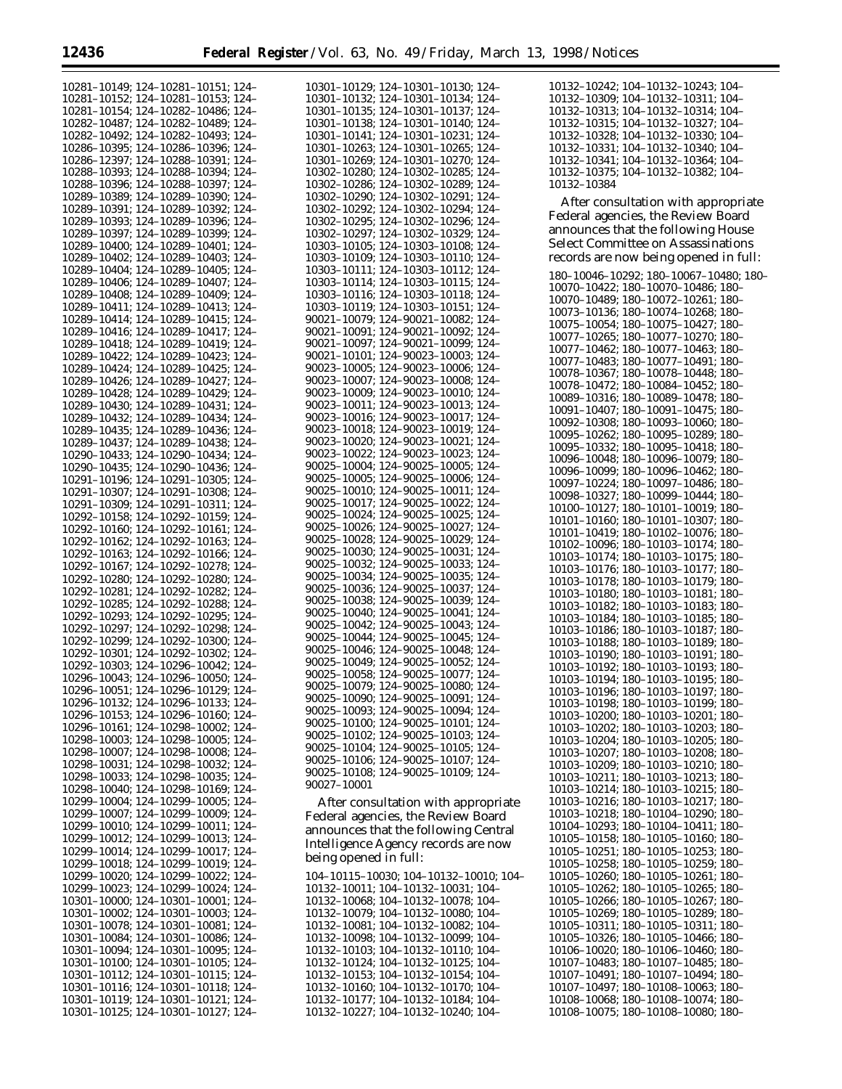| 10281-10149; 124-10281-10151; 124-                                       | 10301-10129; 124-10301-10130; 124-                                       | 10132-10242; 104-10132-10243; 104-        |
|--------------------------------------------------------------------------|--------------------------------------------------------------------------|-------------------------------------------|
|                                                                          |                                                                          |                                           |
| 10281-10152; 124-10281-10153; 124-                                       | 10301-10132; 124-10301-10134; 124-                                       | 10132-10309; 104-10132-10311; 104-        |
| 10281-10154; 124-10282-10486; 124-                                       | 10301-10135; 124-10301-10137; 124-                                       | 10132-10313; 104-10132-10314; 104-        |
|                                                                          |                                                                          |                                           |
| 10282-10487; 124-10282-10489; 124-                                       | 10301-10138; 124-10301-10140; 124-                                       | 10132-10315; 104-10132-10327; 104-        |
| 10282-10492; 124-10282-10493; 124-                                       | 10301-10141; 124-10301-10231; 124-                                       | 10132-10328; 104-10132-10330; 104-        |
| 10286-10395; 124-10286-10396; 124-                                       | 10301-10263; 124-10301-10265; 124-                                       | 10132-10331; 104-10132-10340; 104-        |
|                                                                          |                                                                          |                                           |
| 10286-12397; 124-10288-10391; 124-                                       | 10301-10269; 124-10301-10270; 124-                                       | 10132-10341; 104-10132-10364; 104-        |
| 10288-10393; 124-10288-10394; 124-                                       | 10302-10280; 124-10302-10285; 124-                                       | 10132-10375; 104-10132-10382; 104-        |
| 10288-10396; 124-10288-10397; 124-                                       | 10302-10286; 124-10302-10289; 124-                                       | 10132-10384                               |
|                                                                          |                                                                          |                                           |
| 10289-10389; 124-10289-10390; 124-                                       | 10302-10290; 124-10302-10291; 124-                                       | After consultation with appropriate       |
| 10289-10391; 124-10289-10392; 124-                                       | 10302-10292; 124-10302-10294; 124-                                       |                                           |
|                                                                          |                                                                          | Federal agencies, the Review Board        |
| 10289-10393; 124-10289-10396; 124-                                       | 10302-10295; 124-10302-10296; 124-                                       |                                           |
| 10289-10397; 124-10289-10399; 124-                                       | 10302-10297; 124-10302-10329; 124-                                       | announces that the following House        |
| 10289-10400; 124-10289-10401; 124-                                       | 10303-10105: 124-10303-10108: 124-                                       | <b>Select Committee on Assassinations</b> |
|                                                                          |                                                                          |                                           |
| 10289-10402; 124-10289-10403; 124-                                       | 10303-10109; 124-10303-10110; 124-                                       | records are now being opened in full:     |
| 10289-10404; 124-10289-10405; 124-                                       | 10303-10111; 124-10303-10112; 124-                                       |                                           |
|                                                                          |                                                                          | 180-10046-10292; 180-10067-10480; 180-    |
| 10289-10406; 124-10289-10407; 124-                                       | 10303-10114; 124-10303-10115; 124-                                       | 10070-10422; 180-10070-10486; 180-        |
| 10289-10408; 124-10289-10409; 124-                                       | 10303-10116; 124-10303-10118; 124-                                       | 10070-10489; 180-10072-10261; 180-        |
| 10289-10411; 124-10289-10413; 124-                                       | 10303-10119; 124-10303-10151; 124-                                       |                                           |
|                                                                          |                                                                          | 10073-10136; 180-10074-10268; 180-        |
| 10289-10414; 124-10289-10415; 124-                                       | 90021-10079; 124-90021-10082; 124-                                       | 10075-10054; 180-10075-10427; 180-        |
| 10289-10416; 124-10289-10417; 124-                                       | 90021-10091; 124-90021-10092; 124-                                       |                                           |
| 10289-10418; 124-10289-10419; 124-                                       | 90021-10097; 124-90021-10099; 124-                                       | 10077-10265; 180-10077-10270; 180-        |
|                                                                          |                                                                          | 10077-10462; 180-10077-10463; 180-        |
| 10289-10422; 124-10289-10423; 124-                                       | 90021-10101; 124-90023-10003; 124-                                       | 10077-10483; 180-10077-10491; 180-        |
| 10289-10424; 124-10289-10425; 124-                                       | 90023-10005; 124-90023-10006; 124-                                       |                                           |
|                                                                          | 90023-10007: 124-90023-10008: 124-                                       | 10078-10367; 180-10078-10448; 180-        |
| 10289-10426; 124-10289-10427; 124-                                       |                                                                          | 10078-10472; 180-10084-10452; 180-        |
| 10289-10428; 124-10289-10429; 124-                                       | 90023-10009; 124-90023-10010; 124-                                       | 10089-10316; 180-10089-10478; 180-        |
| 10289-10430; 124-10289-10431; 124-                                       | 90023-10011; 124-90023-10013; 124-                                       |                                           |
|                                                                          |                                                                          | 10091-10407; 180-10091-10475; 180-        |
| 10289-10432; 124-10289-10434; 124-                                       | 90023-10016; 124-90023-10017; 124-                                       | 10092-10308; 180-10093-10060; 180-        |
| 10289-10435; 124-10289-10436; 124-                                       | 90023-10018; 124-90023-10019; 124-                                       |                                           |
|                                                                          | 90023-10020; 124-90023-10021; 124-                                       | 10095-10262: 180-10095-10289: 180-        |
| 10289-10437; 124-10289-10438; 124-                                       |                                                                          | 10095-10332; 180-10095-10418; 180-        |
| 10290-10433; 124-10290-10434; 124-                                       | 90023-10022; 124-90023-10023; 124-                                       | 10096-10048; 180-10096-10079; 180-        |
| 10290-10435; 124-10290-10436; 124-                                       | 90025-10004; 124-90025-10005; 124-                                       |                                           |
|                                                                          | 90025-10005; 124-90025-10006; 124-                                       | 10096-10099; 180-10096-10462; 180-        |
| 10291-10196; 124-10291-10305; 124-                                       |                                                                          | 10097-10224; 180-10097-10486; 180-        |
| 10291-10307; 124-10291-10308; 124-                                       | 90025-10010; 124-90025-10011; 124-                                       | 10098-10327; 180-10099-10444; 180-        |
| 10291-10309; 124-10291-10311; 124-                                       | 90025-10017; 124-90025-10022; 124-                                       |                                           |
|                                                                          |                                                                          | 10100-10127; 180-10101-10019; 180-        |
| 10292-10158; 124-10292-10159; 124-                                       | 90025-10024; 124-90025-10025; 124-                                       | 10101-10160; 180-10101-10307; 180-        |
| 10292-10160; 124-10292-10161; 124-                                       | 90025-10026; 124-90025-10027; 124-                                       | 10101-10419; 180-10102-10076; 180-        |
| 10292-10162; 124-10292-10163; 124-                                       | 90025-10028; 124-90025-10029; 124-                                       |                                           |
|                                                                          |                                                                          | 10102-10096; 180-10103-10174; 180-        |
| 10292-10163; 124-10292-10166; 124-                                       | 90025-10030; 124-90025-10031; 124-                                       | 10103-10174; 180-10103-10175; 180-        |
| 10292-10167; 124-10292-10278; 124-                                       | 90025-10032; 124-90025-10033; 124-                                       |                                           |
|                                                                          | 90025-10034; 124-90025-10035; 124-                                       | 10103-10176; 180-10103-10177; 180-        |
| 10292-10280; 124-10292-10280; 124-                                       |                                                                          | 10103-10178; 180-10103-10179; 180-        |
| 10292-10281; 124-10292-10282; 124-                                       | 90025-10036; 124-90025-10037; 124-                                       | 10103-10180; 180-10103-10181; 180-        |
| 10292-10285; 124-10292-10288; 124-                                       | 90025-10038; 124-90025-10039; 124-                                       |                                           |
|                                                                          | 90025-10040; 124-90025-10041; 124-                                       | 10103-10182; 180-10103-10183; 180-        |
| 10292-10293; 124-10292-10295; 124-                                       |                                                                          | 10103-10184; 180-10103-10185; 180-        |
| 10292-10297; 124-10292-10298; 124-                                       | 90025-10042; 124-90025-10043; 124-                                       | 10103-10186; 180-10103-10187; 180-        |
| 10292-10299; 124-10292-10300; 124-                                       | 90025-10044; 124-90025-10045; 124-                                       |                                           |
|                                                                          | 90025-10046; 124-90025-10048; 124-                                       | 10103-10188; 180-10103-10189; 180-        |
| 10292-10301; 124-10292-10302; 124-                                       |                                                                          | 10103-10190; 180-10103-10191; 180-        |
| 10292-10303; 124-10296-10042; 124-                                       | 90025-10049; 124-90025-10052; 124-                                       | 10103-10192; 180-10103-10193; 180-        |
| 10296-10043; 124-10296-10050; 124-                                       | 90025-10058; 124-90025-10077; 124-                                       |                                           |
|                                                                          | 90025-10079; 124-90025-10080; 124-                                       | 10103-10194; 180-10103-10195; 180-        |
| 10296-10051; 124-10296-10129; 124-                                       |                                                                          | 10103-10196; 180-10103-10197; 180-        |
| 10296-10132; 124-10296-10133; 124-                                       | 90025-10090; 124-90025-10091; 124-                                       | 10103-10198; 180-10103-10199; 180-        |
|                                                                          | 90025-10093; 124-90025-10094; 124-                                       |                                           |
| 10296-10153; 124-10296-10160; 124-                                       | 90025-10100; 124-90025-10101; 124-                                       | 10103-10200; 180-10103-10201; 180-        |
| $10296 - 10161$ ; 124-10298-10002; 124-                                  |                                                                          | 10103-10202; 180-10103-10203; 180-        |
| 10298-10003; 124-10298-10005; 124-                                       | 90025-10102; 124-90025-10103; 124-                                       | 10103-10204; 180-10103-10205; 180-        |
| 10298-10007; 124-10298-10008; 124-                                       | 90025-10104; 124-90025-10105; 124-                                       |                                           |
|                                                                          | 90025-10106; 124-90025-10107; 124-                                       | 10103-10207; 180-10103-10208; 180-        |
| 10298-10031; 124-10298-10032; 124-                                       |                                                                          | 10103-10209; 180-10103-10210; 180-        |
| 10298-10033; 124-10298-10035; 124-                                       | 90025-10108; 124-90025-10109; 124-                                       | 10103-10211; 180-10103-10213; 180-        |
|                                                                          | 90027-10001                                                              |                                           |
| $10298 - 10040$ ; 124-10298-10169; 124-                                  |                                                                          | 10103-10214; 180-10103-10215; 180-        |
| 10299-10004; 124-10299-10005; 124-                                       | After consultation with appropriate                                      | 10103-10216; 180-10103-10217; 180-        |
| $10299 - 10007$ ; 124-10299-10009; 124-                                  |                                                                          | 10103-10218; 180-10104-10290; 180-        |
|                                                                          | Federal agencies, the Review Board                                       |                                           |
| 10299-10010; 124-10299-10011; 124-                                       | announces that the following Central                                     | 10104-10293; 180-10104-10411; 180-        |
| $10299 - 10012$ ; 124-10299-10013; 124-                                  |                                                                          | 10105-10158; 180-10105-10160; 180-        |
| 10299-10014; 124-10299-10017; 124-                                       | Intelligence Agency records are now                                      |                                           |
|                                                                          | being opened in full:                                                    | 10105-10251; 180-10105-10253; 180-        |
| 10299-10018; 124-10299-10019; 124-                                       |                                                                          | $10105 - 10258$ ; 180-10105-10259; 180-   |
| $10299 - 10020$ ; 124-10299-10022; 124-                                  | 104-10115-10030; 104-10132-10010; 104-                                   | 10105-10260; 180-10105-10261; 180-        |
|                                                                          |                                                                          |                                           |
| $10299 - 10023$ ; 124-10299-10024; 124-                                  | 10132-10011; 104-10132-10031; 104-                                       | $10105 - 10262$ ; 180-10105-10265; 180-   |
| $10301-10000$ ; $124-10301-10001$ ; $124-$                               | 10132-10068; 104-10132-10078; 104-                                       | 10105-10266; 180-10105-10267; 180-        |
| $10301-10002$ ; $124-10301-10003$ ; $124-$                               | 10132-10079; 104-10132-10080; 104-                                       | 10105-10269; 180-10105-10289; 180-        |
|                                                                          |                                                                          |                                           |
| $10301 - 10078$ ; 124-10301-10081; 124-                                  |                                                                          |                                           |
| 10301-10084; 124-10301-10086; 124-                                       | 10132-10081; 104-10132-10082; 104-                                       | 10105-10311; 180-10105-10311; 180-        |
|                                                                          | 10132-10098; 104-10132-10099; 104-                                       | 10105-10326; 180-10105-10466; 180-        |
|                                                                          |                                                                          |                                           |
| $10301-10094$ ; 124-10301-10095; 124-                                    | 10132-10103; 104-10132-10110; 104-                                       | 10106-10020; 180-10106-10460; 180-        |
| $10301-10100$ ; $124-10301-10105$ ; $124-$                               | 10132-10124; 104-10132-10125; 104-                                       | 10107-10483; 180-10107-10485; 180-        |
|                                                                          |                                                                          |                                           |
| $10301 - 10112$ ; 124-10301-10115; 124-                                  | 10132-10153; 104-10132-10154; 104-                                       | 10107-10491; 180-10107-10494; 180-        |
| $10301 - 10116$ ; 124-10301-10118; 124-                                  | 10132-10160; 104-10132-10170; 104-                                       | 10107-10497; 180-10108-10063; 180-        |
| 10301-10119; 124-10301-10121; 124-<br>10301-10125; 124-10301-10127; 124- | 10132-10177; 104-10132-10184; 104-<br>10132-10227; 104-10132-10240; 104- | 10108-10068; 180-10108-10074; 180-        |